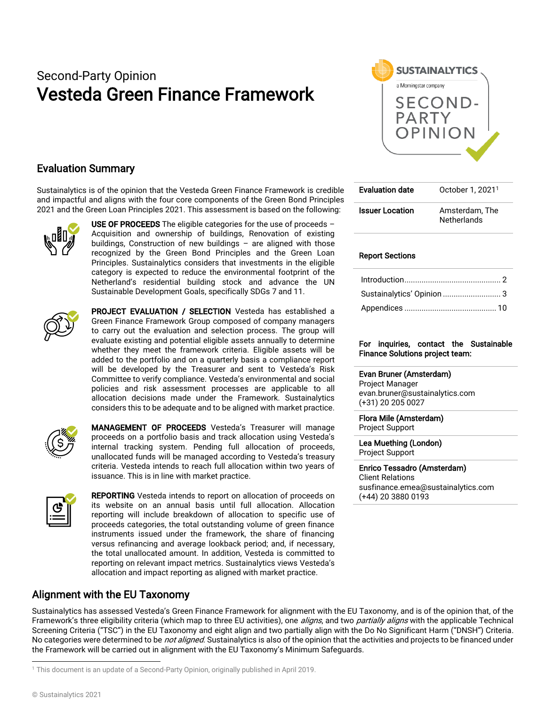# Second-Party Opinion Vesteda Green Finance Framework



## Evaluation Summary

Sustainalytics is of the opinion that the Vesteda Green Finance Framework is credible and impactful and aligns with the four core components of the Green Bond Principles 2021 and the Green Loan Principles 2021. This assessment is based on the following:



USE OF PROCEEDS The eligible categories for the use of proceeds  $-$ Acquisition and ownership of buildings, Renovation of existing buildings, Construction of new buildings – are aligned with those recognized by the Green Bond Principles and the Green Loan Principles. Sustainalytics considers that investments in the eligible category is expected to reduce the environmental footprint of the Netherland's residential building stock and advance the UN Sustainable Development Goals, specifically SDGs 7 and 11.



PROJECT EVALUATION / SELECTION Vesteda has established a Green Finance Framework Group composed of company managers to carry out the evaluation and selection process. The group will evaluate existing and potential eligible assets annually to determine whether they meet the framework criteria. Eligible assets will be added to the portfolio and on a quarterly basis a compliance report will be developed by the Treasurer and sent to Vesteda's Risk Committee to verify compliance. Vesteda's environmental and social policies and risk assessment processes are applicable to all allocation decisions made under the Framework. Sustainalytics considers this to be adequate and to be aligned with market practice.



MANAGEMENT OF PROCEEDS Vesteda's Treasurer will manage proceeds on a portfolio basis and track allocation using Vesteda's internal tracking system. Pending full allocation of proceeds, unallocated funds will be managed according to Vesteda's treasury criteria. Vesteda intends to reach full allocation within two years of issuance. This is in line with market practice.



REPORTING Vesteda intends to report on allocation of proceeds on its website on an annual basis until full allocation. Allocation reporting will include breakdown of allocation to specific use of proceeds categories, the total outstanding volume of green finance instruments issued under the framework, the share of financing versus refinancing and average lookback period; and, if necessary, the total unallocated amount. In addition, Vesteda is committed to reporting on relevant impact metrics. Sustainalytics views Vesteda's allocation and impact reporting as aligned with market practice.

## Alignment with the EU Taxonomy

| <b>Evaluation date</b> | October 1, 2021 <sup>1</sup>         |
|------------------------|--------------------------------------|
| <b>Issuer Location</b> | Amsterdam. The<br><b>Netherlands</b> |

#### Report Sections

| Sustainalytics' Opinion  3 |
|----------------------------|
|                            |
|                            |

#### For inquiries, contact the Sustainable Finance Solutions project team:

#### Evan Bruner (Amsterdam)

Project Manager evan.bruner@sustainalytics.com (+31) 20 205 0027

### Flora Mile (Amsterdam)

Project Support

Lea Muething (London) Project Support

Enrico Tessadro (Amsterdam) Client Relations susfinance.emea@sustainalytics.com (+44) 20 3880 0193

Sustainalytics has assessed Vesteda's Green Finance Framework for alignment with the EU Taxonomy, and is of the opinion that, of the Framework's three eligibility criteria (which map to three EU activities), one *aligns*, and two *partially aligns* with the applicable Technical Screening Criteria ("TSC") in the EU Taxonomy and eight align and two partially align with the Do No Significant Harm ("DNSH") Criteria. No categories were determined to be *not aligned*. Sustainalytics is also of the opinion that the activities and projects to be financed under the Framework will be carried out in alignment with the EU Taxonomy's Minimum Safeguards.

<sup>1</sup> This document is an update of a Second-Party Opinion, originally published in April 2019.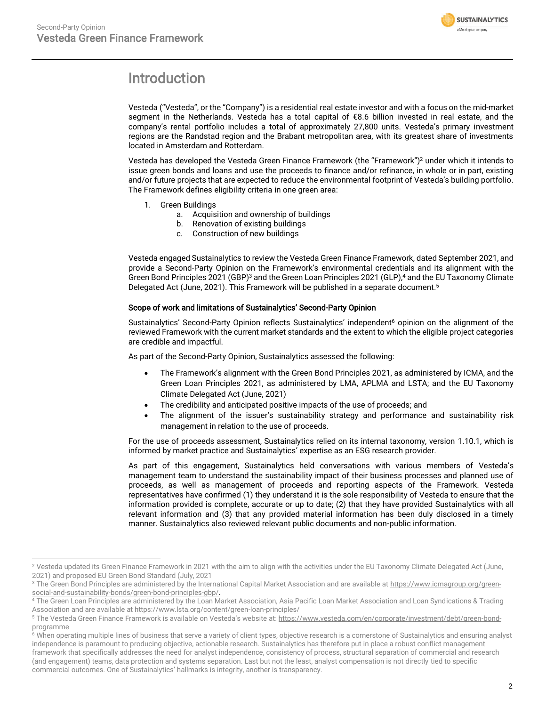

## <span id="page-1-0"></span>Introduction

Vesteda ("Vesteda", or the "Company") is a residential real estate investor and with a focus on the mid-market segment in the Netherlands. Vesteda has a total capital of €8.6 billion invested in real estate, and the company's rental portfolio includes a total of approximately 27,800 units. Vesteda's primary investment regions are the Randstad region and the Brabant metropolitan area, with its greatest share of investments located in Amsterdam and Rotterdam.

Vesteda has developed the Vesteda Green Finance Framework (the "Framework")<sup>2</sup> under which it intends to issue green bonds and loans and use the proceeds to finance and/or refinance, in whole or in part, existing and/or future projects that are expected to reduce the environmental footprint of Vesteda's building portfolio. The Framework defines eligibility criteria in one green area:

- 1. Green Buildings
	- a. Acquisition and ownership of buildings
	- b. Renovation of existing buildings
	- c. Construction of new buildings

Vesteda engaged Sustainalytics to review the Vesteda Green Finance Framework, dated September 2021, and provide a Second-Party Opinion on the Framework's environmental credentials and its alignment with the Green Bond Principles 2021 (GBP)<sup>3</sup> and the Green Loan Principles 2021 (GLP),<sup>4</sup> and the EU Taxonomy Climate Delegated Act (June, 2021). This Framework will be published in a separate document. 5

#### Scope of work and limitations of Sustainalytics' Second-Party Opinion

Sustainalytics' Second-Party Opinion reflects Sustainalytics' independent<sup>6</sup> opinion on the alignment of the reviewed Framework with the current market standards and the extent to which the eligible project categories are credible and impactful.

As part of the Second-Party Opinion, Sustainalytics assessed the following:

- The Framework's alignment with the Green Bond Principles 2021, as administered by ICMA, and the Green Loan Principles 2021, as administered by LMA, APLMA and LSTA; and the EU Taxonomy Climate Delegated Act (June, 2021)
- The credibility and anticipated positive impacts of the use of proceeds; and
- The alignment of the issuer's sustainability strategy and performance and sustainability risk management in relation to the use of proceeds.

For the use of proceeds assessment, Sustainalytics relied on its internal taxonomy, version 1.10.1, which is informed by market practice and Sustainalytics' expertise as an ESG research provider.

As part of this engagement, Sustainalytics held conversations with various members of Vesteda's management team to understand the sustainability impact of their business processes and planned use of proceeds, as well as management of proceeds and reporting aspects of the Framework. Vesteda representatives have confirmed (1) they understand it is the sole responsibility of Vesteda to ensure that the information provided is complete, accurate or up to date; (2) that they have provided Sustainalytics with all relevant information and (3) that any provided material information has been duly disclosed in a timely manner. Sustainalytics also reviewed relevant public documents and non-public information.

<sup>&</sup>lt;sup>2</sup> Vesteda updated its Green Finance Framework in 2021 with the aim to align with the activities under the EU Taxonomy Climate Delegated Act (June, 2021) and proposed EU Green Bond Standard (July, 2021

<sup>&</sup>lt;sup>3</sup> The Green Bond Principles are administered by the International Capital Market Association and are available a[t https://www.icmagroup.org/green](https://www.icmagroup.org/green-social-and-sustainability-bonds/green-bond-principles-gbp/)[social-and-sustainability-bonds/green-bond-principles-gbp/.](https://www.icmagroup.org/green-social-and-sustainability-bonds/green-bond-principles-gbp/)

<sup>4</sup> The Green Loan Principles are administered by the Loan Market Association, Asia Pacific Loan Market Association and Loan Syndications & Trading Association and are available a[t https://www.lsta.org/content/green-loan-principles/](https://www.lsta.org/content/green-loan-principles/)

<sup>&</sup>lt;sup>5</sup> The Vesteda Green Finance Framework is available on Vesteda's website at: [https://www.vesteda.com/en/corporate/investment/debt/green-bond](https://www.vesteda.com/en/corporate/investment/debt/green-bond-programme)[programme](https://www.vesteda.com/en/corporate/investment/debt/green-bond-programme)

<sup>&</sup>lt;sup>6</sup> When operating multiple lines of business that serve a variety of client types, objective research is a cornerstone of Sustainalytics and ensuring analyst independence is paramount to producing objective, actionable research. Sustainalytics has therefore put in place a robust conflict management framework that specifically addresses the need for analyst independence, consistency of process, structural separation of commercial and research (and engagement) teams, data protection and systems separation. Last but not the least, analyst compensation is not directly tied to specific commercial outcomes. One of Sustainalytics' hallmarks is integrity, another is transparency.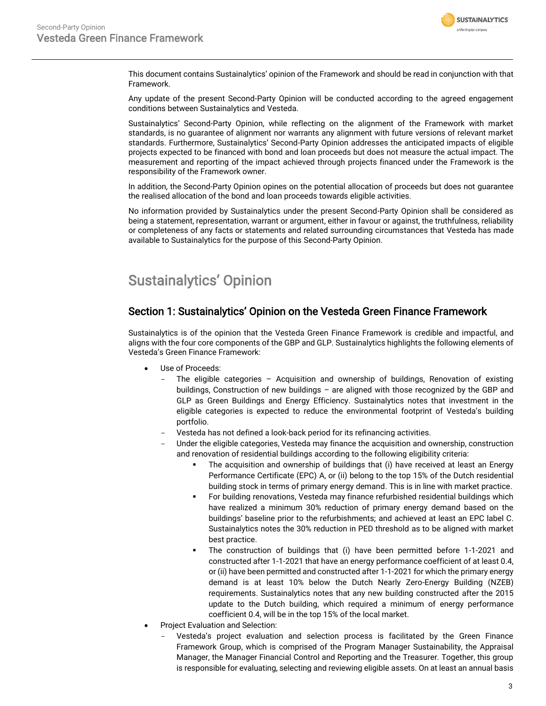

This document contains Sustainalytics' opinion of the Framework and should be read in conjunction with that Framework.

Any update of the present Second-Party Opinion will be conducted according to the agreed engagement conditions between Sustainalytics and Vesteda.

Sustainalytics' Second-Party Opinion, while reflecting on the alignment of the Framework with market standards, is no guarantee of alignment nor warrants any alignment with future versions of relevant market standards. Furthermore, Sustainalytics' Second-Party Opinion addresses the anticipated impacts of eligible projects expected to be financed with bond and loan proceeds but does not measure the actual impact. The measurement and reporting of the impact achieved through projects financed under the Framework is the responsibility of the Framework owner.

In addition, the Second-Party Opinion opines on the potential allocation of proceeds but does not guarantee the realised allocation of the bond and loan proceeds towards eligible activities.

No information provided by Sustainalytics under the present Second-Party Opinion shall be considered as being a statement, representation, warrant or argument, either in favour or against, the truthfulness, reliability or completeness of any facts or statements and related surrounding circumstances that Vesteda has made available to Sustainalytics for the purpose of this Second-Party Opinion.

## <span id="page-2-0"></span>Sustainalytics' Opinion

### Section 1: Sustainalytics' Opinion on the Vesteda Green Finance Framework

Sustainalytics is of the opinion that the Vesteda Green Finance Framework is credible and impactful, and aligns with the four core components of the GBP and GLP. Sustainalytics highlights the following elements of Vesteda's Green Finance Framework:

- Use of Proceeds:
	- The eligible categories  $-$  Acquisition and ownership of buildings, Renovation of existing buildings, Construction of new buildings – are aligned with those recognized by the GBP and GLP as Green Buildings and Energy Efficiency. Sustainalytics notes that investment in the eligible categories is expected to reduce the environmental footprint of Vesteda's building portfolio.
	- Vesteda has not defined a look-back period for its refinancing activities.
	- Under the eligible categories, Vesteda may finance the acquisition and ownership, construction and renovation of residential buildings according to the following eligibility criteria:
		- The acquisition and ownership of buildings that (i) have received at least an Energy Performance Certificate (EPC) A, or (ii) belong to the top 15% of the Dutch residential building stock in terms of primary energy demand. This is in line with market practice.
		- For building renovations, Vesteda may finance refurbished residential buildings which have realized a minimum 30% reduction of primary energy demand based on the buildings' baseline prior to the refurbishments; and achieved at least an EPC label C. Sustainalytics notes the 30% reduction in PED threshold as to be aligned with market best practice.
		- The construction of buildings that (i) have been permitted before 1-1-2021 and constructed after 1-1-2021 that have an energy performance coefficient of at least 0.4, or (ii) have been permitted and constructed after 1-1-2021 for which the primary energy demand is at least 10% below the Dutch Nearly Zero-Energy Building (NZEB) requirements. Sustainalytics notes that any new building constructed after the 2015 update to the Dutch building, which required a minimum of energy performance coefficient 0.4, will be in the top 15% of the local market.
- Project Evaluation and Selection:
	- Vesteda's project evaluation and selection process is facilitated by the Green Finance Framework Group, which is comprised of the Program Manager Sustainability, the Appraisal Manager, the Manager Financial Control and Reporting and the Treasurer. Together, this group is responsible for evaluating, selecting and reviewing eligible assets. On at least an annual basis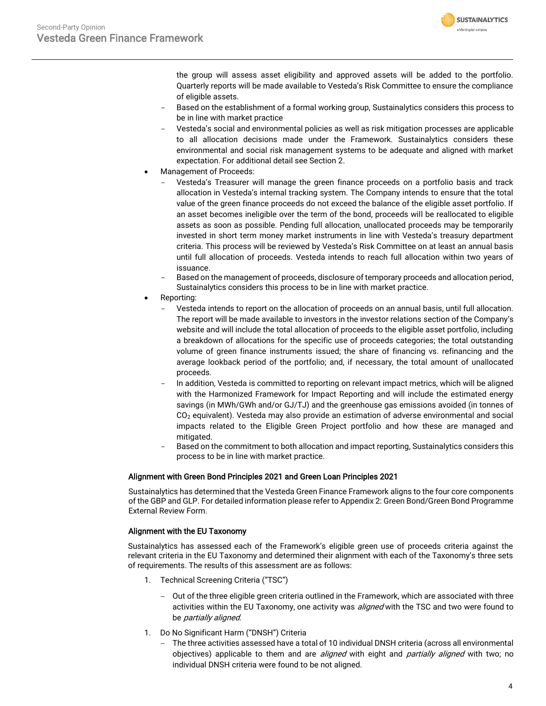

the group will assess asset eligibility and approved assets will be added to the portfolio. Quarterly reports will be made available to Vesteda's Risk Committee to ensure the compliance of eligible assets.

- Based on the establishment of a formal working group, Sustainalytics considers this process to be in line with market practice
- Vesteda's social and environmental policies as well as risk mitigation processes are applicable to all allocation decisions made under the Framework. Sustainalytics considers these environmental and social risk management systems to be adequate and aligned with market expectation. For additional detail see Section 2.
- Management of Proceeds:
	- Vesteda's Treasurer will manage the green finance proceeds on a portfolio basis and track allocation in Vesteda's internal tracking system. The Company intends to ensure that the total value of the green finance proceeds do not exceed the balance of the eligible asset portfolio. If an asset becomes ineligible over the term of the bond, proceeds will be reallocated to eligible assets as soon as possible. Pending full allocation, unallocated proceeds may be temporarily invested in short term money market instruments in line with Vesteda's treasury department criteria. This process will be reviewed by Vesteda's Risk Committee on at least an annual basis until full allocation of proceeds. Vesteda intends to reach full allocation within two years of issuance.
	- Based on the management of proceeds, disclosure of temporary proceeds and allocation period, Sustainalytics considers this process to be in line with market practice.
- Reporting:
	- Vesteda intends to report on the allocation of proceeds on an annual basis, until full allocation. The report will be made available to investors in the investor relations section of the Company's website and will include the total allocation of proceeds to the eligible asset portfolio, including a breakdown of allocations for the specific use of proceeds categories; the total outstanding volume of green finance instruments issued; the share of financing vs. refinancing and the average lookback period of the portfolio; and, if necessary, the total amount of unallocated proceeds.
	- In addition, Vesteda is committed to reporting on relevant impact metrics, which will be aligned with the Harmonized Framework for Impact Reporting and will include the estimated energy savings (in MWh/GWh and/or GJ/TJ) and the greenhouse gas emissions avoided (in tonnes of  $CO<sub>2</sub>$  equivalent). Vesteda may also provide an estimation of adverse environmental and social impacts related to the Eligible Green Project portfolio and how these are managed and mitigated.
	- Based on the commitment to both allocation and impact reporting, Sustainalytics considers this process to be in line with market practice.

#### Alignment with Green Bond Principles 2021 and Green Loan Principles 2021

Sustainalytics has determined that the Vesteda Green Finance Framework aligns to the four core components of the GBP and GLP. For detailed information please refer to Appendix 2: Green Bond/Green Bond Programme External Review Form.

#### Alignment with the EU Taxonomy

Sustainalytics has assessed each of the Framework's eligible green use of proceeds criteria against the relevant criteria in the EU Taxonomy and determined their alignment with each of the Taxonomy's three sets of requirements. The results of this assessment are as follows:

- 1. Technical Screening Criteria ("TSC")
	- − Out of the three eligible green criteria outlined in the Framework, which are associated with three activities within the EU Taxonomy, one activity was *aligned* with the TSC and two were found to be partially aligned.
- 1. Do No Significant Harm ("DNSH") Criteria
	- − The three activities assessed have a total of 10 individual DNSH criteria (across all environmental objectives) applicable to them and are *aligned* with eight and *partially aligned* with two; no individual DNSH criteria were found to be not aligned.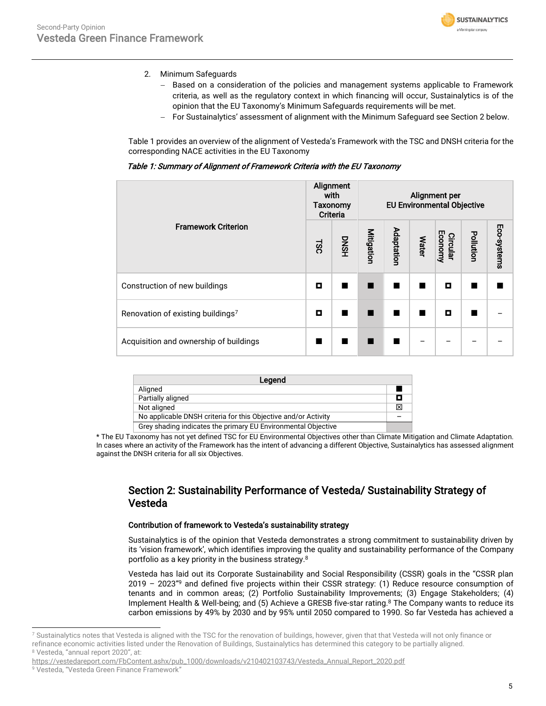

- 2. Minimum Safeguards
	- − Based on a consideration of the policies and management systems applicable to Framework criteria, as well as the regulatory context in which financing will occur, Sustainalytics is of the opinion that the EU Taxonomy's Minimum Safeguards requirements will be met.
	- − For Sustainalytics' assessment of alignment with the Minimum Safeguard see Section 2 below.

Table 1 provides an overview of the alignment of Vesteda's Framework with the TSC and DNSH criteria for the corresponding NACE activities in the EU Taxonomy

|                                        | Alignment<br>with<br>Taxonomy<br><b>Criteria</b> |                | Alignment per<br><b>EU Environmental Objective</b> |            |              |                     |           |             |
|----------------------------------------|--------------------------------------------------|----------------|----------------------------------------------------|------------|--------------|---------------------|-----------|-------------|
| <b>Framework Criterion</b>             | LSC                                              | <b>DNSH</b>    | Mitigation                                         | Adaptation | <b>Water</b> | Economy<br>Circular | Pollution | Eco-systems |
| Construction of new buildings          | о                                                |                |                                                    |            |              | о                   |           |             |
| Renovation of existing buildings7      | о                                                | $\blacksquare$ | ш                                                  |            |              | о                   |           |             |
| Acquisition and ownership of buildings | ш                                                | ш              |                                                    |            |              |                     |           |             |

| Legend                                                         |   |
|----------------------------------------------------------------|---|
| Aligned                                                        |   |
| Partially aligned                                              |   |
| Not aligned                                                    | ⊠ |
| No applicable DNSH criteria for this Objective and/or Activity |   |
| Grey shading indicates the primary EU Environmental Objective  |   |

\* The EU Taxonomy has not yet defined TSC for EU Environmental Objectives other than Climate Mitigation and Climate Adaptation. In cases where an activity of the Framework has the intent of advancing a different Objective, Sustainalytics has assessed alignment against the DNSH criteria for all six Objectives.

### Section 2: Sustainability Performance of Vesteda/ Sustainability Strategy of Vesteda

#### Contribution of framework to Vesteda's sustainability strategy

Sustainalytics is of the opinion that Vesteda demonstrates a strong commitment to sustainability driven by its 'vision framework', which identifies improving the quality and sustainability performance of the Company portfolio as a key priority in the business strategy.<sup>8</sup>

<span id="page-4-0"></span>Vesteda has laid out its Corporate Sustainability and Social Responsibility (CSSR) goals in the "CSSR plan 2019 – 2023"<sup>9</sup> and defined five projects within their CSSR strategy: (1) Reduce resource consumption of tenants and in common areas; (2) Portfolio Sustainability Improvements; (3) Engage Stakeholders; (4) Implement Health & Well-being; and (5) Achieve a GRESB five-star ratin[g.](#page-4-0)<sup>8</sup> The Company wants to reduce its carbon emissions by 49% by 2030 and by 95% until 2050 compared to 1990. So far Vesteda has achieved a

<sup>&</sup>lt;sup>7</sup> Sustainalytics notes that Vesteda is aligned with the TSC for the renovation of buildings, however, given that that Vesteda will not only finance or refinance economic activities listed under the Renovation of Buildings, Sustainalytics has determined this category to be partially aligned. <sup>8</sup> Vesteda, "annual report 2020", at:

https://vestedareport.com/FbContent.ashx/pub\_1000/downloads/v210402103743/Vesteda\_Annual\_Report\_2020.pdf

<sup>9</sup> Vesteda, "Vesteda Green Finance Framework"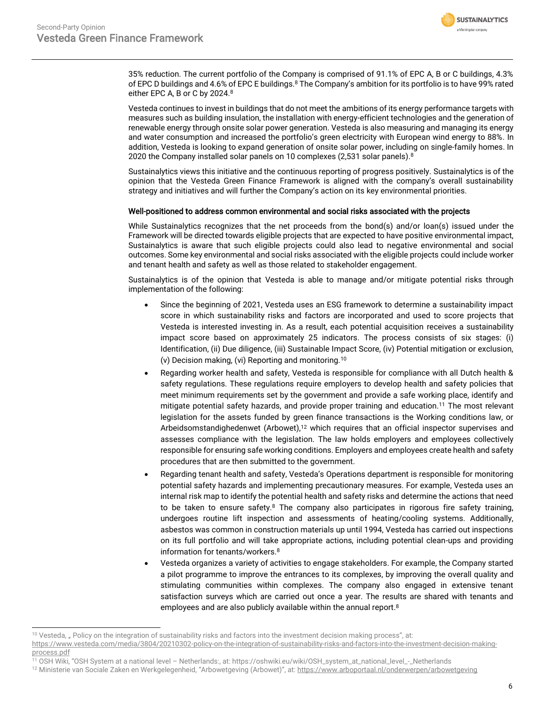

35% reduction. The current portfolio of the Company is comprised of 91.1% of EPC A, B or C buildings, 4.3% of EPC D buildings and 4.6% of EPC E buildings.[8](#page-4-0) The Company's ambition for its portfolio is to have 99% rated either EPC A, B or C by 2024.<sup>[8](#page-4-0)</sup>

Vesteda continues to invest in buildings that do not meet the ambitions of its energy performance targets with measures such as building insulation, the installation with energy-efficient technologies and the generation of renewable energy through onsite solar power generation. Vesteda is also measuring and managing its energy and water consumption and increased the portfolio's green electricity with European wind energy to 88%. In addition, Vesteda is looking to expand generation of onsite solar power, including on single-family homes. In 2020 the Company installed solar panels on 10 complexes (2,531 solar panels[\).](#page-4-0) $^8$ 

Sustainalytics views this initiative and the continuous reporting of progress positively. Sustainalytics is of the opinion that the Vesteda Green Finance Framework is aligned with the company's overall sustainability strategy and initiatives and will further the Company's action on its key environmental priorities.

#### Well-positioned to address common environmental and social risks associated with the projects

While Sustainalytics recognizes that the net proceeds from the bond(s) and/or loan(s) issued under the Framework will be directed towards eligible projects that are expected to have positive environmental impact, Sustainalytics is aware that such eligible projects could also lead to negative environmental and social outcomes. Some key environmental and social risks associated with the eligible projects could include worker and tenant health and safety as well as those related to stakeholder engagement.

Sustainalytics is of the opinion that Vesteda is able to manage and/or mitigate potential risks through implementation of the following:

- Since the beginning of 2021, Vesteda uses an ESG framework to determine a sustainability impact score in which sustainability risks and factors are incorporated and used to score projects that Vesteda is interested investing in. As a result, each potential acquisition receives a sustainability impact score based on approximately 25 indicators. The process consists of six stages: (i) Identification, (ii) Due diligence, (iii) Sustainable Impact Score, (iv) Potential mitigation or exclusion, (v) Decision making, (vi) Reporting and monitoring.<sup>10</sup>
- <span id="page-5-0"></span>• Regarding worker health and safety, Vesteda is responsible for compliance with all Dutch health & safety regulations. These regulations require employers to develop health and safety policies that meet minimum requirements set by the government and provide a safe working place, identify and mitigate potential safety hazards, and provide proper training and education.<sup>11</sup> The most relevant legislation for the assets funded by green finance transactions is the Working conditions law, or Arbeidsomstandighedenwet (Arbowet),<sup>12</sup> which requires that an official inspector supervises and assesses compliance with the legislation. The law holds employers and employees collectively responsible for ensuring safe working conditions. Employers and employees create health and safety procedures that are then submitted to the government.
- Regarding tenant health and safety, Vesteda's Operations department is responsible for monitoring potential safety hazards and implementing precautionary measures. For example, Vesteda uses an internal risk map to identify the potential health and safety risks and determine the actions that need to be taken to ensure safety. $8$  The company also participates in rigorous fire safety training, undergoes routine lift inspection and assessments of heating/cooling systems. Additionally, asbestos was common in construction materials up until 1994, Vesteda has carried out inspections on its full portfolio and will take appropriate actions, including potential clean-ups and providing information for tenants/worker[s.](#page-4-0)<sup>8</sup>
- Vesteda organizes a variety of activities to engage stakeholders. For example, the Company started a pilot programme to improve the entrances to its complexes, by improving the overall quality and stimulating communities within complexes. The company also engaged in extensive tenant satisfaction surveys which are carried out once a year. The results are shared with tenants and employees and are also publicly available within the annual report. [8](#page-4-0)

<sup>&</sup>lt;sup>10</sup> Vesteda, " Policy on the integration of sustainability risks and factors into the investment decision making process", at:

[https://www.vesteda.com/media/3804/20210302-policy-on-the-integration-of-sustainability-risks-and-factors-into-the-investment-decision-making-](https://www.vesteda.com/media/3804/20210302-policy-on-the-integration-of-sustainability-risks-and-factors-into-the-investment-decision-making-process.pdf)

[process.pdf](https://www.vesteda.com/media/3804/20210302-policy-on-the-integration-of-sustainability-risks-and-factors-into-the-investment-decision-making-process.pdf)

<sup>11</sup> OSH Wiki, "OSH System at a national level – Netherlands:, at: https://oshwiki.eu/wiki/OSH\_system\_at\_national\_level\_-\_Netherlands

<sup>&</sup>lt;sup>12</sup> Ministerie van Sociale Zaken en Werkgelegenheid, "Arbowetgeving (Arbowet)", at: <https://www.arboportaal.nl/onderwerpen/arbowetgeving>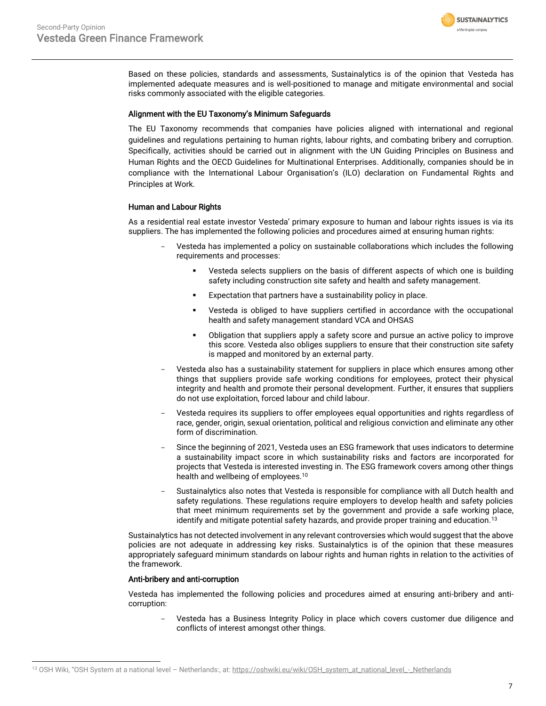

Based on these policies, standards and assessments, Sustainalytics is of the opinion that Vesteda has implemented adequate measures and is well-positioned to manage and mitigate environmental and social risks commonly associated with the eligible categories.

#### Alignment with the EU Taxonomy's Minimum Safeguards

The EU Taxonomy recommends that companies have policies aligned with international and regional guidelines and regulations pertaining to human rights, labour rights, and combating bribery and corruption. Specifically, activities should be carried out in alignment with the UN Guiding Principles on Business and Human Rights and the OECD Guidelines for Multinational Enterprises. Additionally, companies should be in compliance with the International Labour Organisation's (ILO) declaration on Fundamental Rights and Principles at Work.

#### Human and Labour Rights

As a residential real estate investor Vesteda' primary exposure to human and labour rights issues is via its suppliers. The has implemented the following policies and procedures aimed at ensuring human rights:

- Vesteda has implemented a policy on sustainable collaborations which includes the following requirements and processes:
	- Vesteda selects suppliers on the basis of different aspects of which one is building safety including construction site safety and health and safety management.
	- Expectation that partners have a sustainability policy in place.
	- Vesteda is obliged to have suppliers certified in accordance with the occupational health and safety management standard VCA and OHSAS
	- **■** Obligation that suppliers apply a safety score and pursue an active policy to improve this score. Vesteda also obliges suppliers to ensure that their construction site safety is mapped and monitored by an external party.
- Vesteda also has a sustainability statement for suppliers in place which ensures among other things that suppliers provide safe working conditions for employees, protect their physical integrity and health and promote their personal development. Further, it ensures that suppliers do not use exploitation, forced labour and child labour.
- Vesteda requires its suppliers to offer employees equal opportunities and rights regardless of race, gender, origin, sexual orientation, political and religious conviction and eliminate any other form of discrimination.
- Since the beginning of 2021, Vesteda uses an ESG framework that uses indicators to determine a sustainability impact score in which sustainability risks and factors are incorporated for projects that Vesteda is interested investing in. The ESG framework covers among other things health and wellbeing of employees.<sup>[10](#page-5-0)</sup>
- Sustainalytics also notes that Vesteda is responsible for compliance with all Dutch health and safety regulations. These regulations require employers to develop health and safety policies that meet minimum requirements set by the government and provide a safe working place, identify and mitigate potential safety hazards, and provide proper training and education.<sup>13</sup>

Sustainalytics has not detected involvement in any relevant controversies which would suggest that the above policies are not adequate in addressing key risks. Sustainalytics is of the opinion that these measures appropriately safeguard minimum standards on labour rights and human rights in relation to the activities of the framework.

#### Anti-bribery and anti-corruption

Vesteda has implemented the following policies and procedures aimed at ensuring anti-bribery and anticorruption:

Vesteda has a Business Integrity Policy in place which covers customer due diligence and conflicts of interest amongst other things.

<sup>13</sup> OSH Wiki, "OSH System at a national level - Netherlands:, at[: https://oshwiki.eu/wiki/OSH\\_system\\_at\\_national\\_level\\_-\\_Netherlands](https://oshwiki.eu/wiki/OSH_system_at_national_level_-_Netherlands)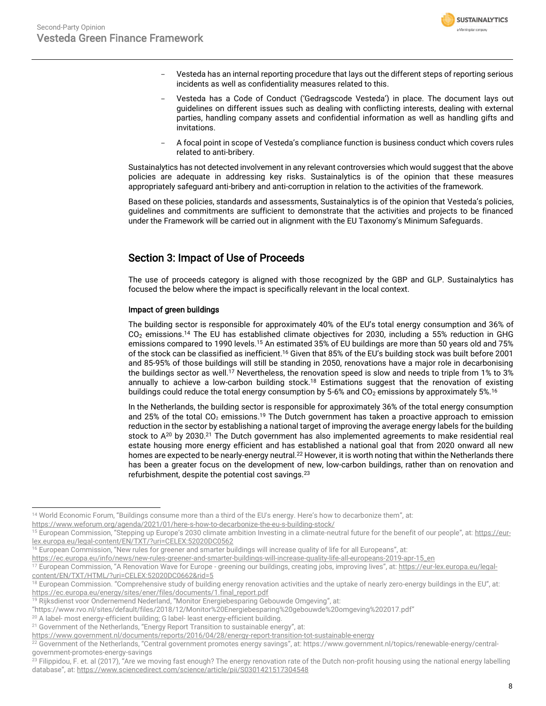

- Vesteda has an internal reporting procedure that lays out the different steps of reporting serious incidents as well as confidentiality measures related to this.
- Vesteda has a Code of Conduct ('Gedragscode Vesteda') in place. The document lays out guidelines on different issues such as dealing with conflicting interests, dealing with external parties, handling company assets and confidential information as well as handling gifts and invitations.
- A focal point in scope of Vesteda's compliance function is business conduct which covers rules related to anti-bribery.

Sustainalytics has not detected involvement in any relevant controversies which would suggest that the above policies are adequate in addressing key risks. Sustainalytics is of the opinion that these measures appropriately safeguard anti-bribery and anti-corruption in relation to the activities of the framework.

Based on these policies, standards and assessments, Sustainalytics is of the opinion that Vesteda's policies, guidelines and commitments are sufficient to demonstrate that the activities and projects to be financed under the Framework will be carried out in alignment with the EU Taxonomy's Minimum Safeguards.

## Section 3: Impact of Use of Proceeds

The use of proceeds category is aligned with those recognized by the GBP and GLP. Sustainalytics has focused the below where the impact is specifically relevant in the local context.

#### Impact of green buildings

<span id="page-7-0"></span>The building sector is responsible for approximately 40% of the EU's total energy consumption and 36% of  $CO<sub>2</sub>$  emissions.<sup>14</sup> The EU has established climate objectives for 2030, including a 55% reduction in GHG emissions compared to 1990 levels.<sup>15</sup> An estimated 35% of EU buildings are more than 50 years old and 75% of the stock can be classified as inefficient.<sup>16</sup> Given that 85% of the EU's building stock was built before 2001 and 85-95% of those buildings will still be standing in 2050, renovations have a major role in decarbonising the buildings sector as well.<sup>17</sup> Nevertheless, the renovation speed is slow and needs to triple from 1% to 3% annually to achieve a low-carbon building stock.<sup>18</sup> Estimations suggest that the renovation of existing buildings could reduce the total energy consumption by 5-6% and  $CO<sub>2</sub>$  emissions by approximately 5%.<sup>[16](#page-7-0)</sup>

In the Netherlands, the building sector is responsible for approximately 36% of the total energy consumption and 25% of the total CO2 emissions.<sup>19</sup> The Dutch government has taken a proactive approach to emission reduction in the sector by establishing a national target of improving the average energy labels for the building stock to A<sup>20</sup> by 2030.<sup>21</sup> The Dutch government has also implemented agreements to make residential real estate housing more energy efficient and has established a national goal that from 2020 onward all new homes are expected to be nearly-energy neutral.<sup>22</sup> However, it is worth noting that within the Netherlands there has been a greater focus on the development of new, low-carbon buildings, rather than on renovation and refurbishment, despite the potential cost savings.<sup>23</sup>

<https://www.weforum.org/agenda/2021/01/here-s-how-to-decarbonize-the-eu-s-building-stock/>

[https://ec.europa.eu/info/news/new-rules-greener-and-smarter-buildings-will-increase-quality-life-all-europeans-2019-apr-15\\_en](https://ec.europa.eu/info/news/new-rules-greener-and-smarter-buildings-will-increase-quality-life-all-europeans-2019-apr-15_en)

<sup>&</sup>lt;sup>14</sup> World Economic Forum, "Buildings consume more than a third of the EU's energy. Here's how to decarbonize them", at:

European Commission, "Stepping up Europe's 2030 climate ambition Investing in a climate-neutral future for the benefit of our people", at: [https://eur](https://eur-lex.europa.eu/legal-content/EN/TXT/?uri=CELEX:52020DC0562)[lex.europa.eu/legal-content/EN/TXT/?uri=CELEX:52020DC0562](https://eur-lex.europa.eu/legal-content/EN/TXT/?uri=CELEX:52020DC0562)

<sup>16</sup> European Commission, "New rules for greener and smarter buildings will increase quality of life for all Europeans", at:

<sup>&</sup>lt;sup>17</sup> European Commission, "A Renovation Wave for Europe - greening our buildings, creating jobs, improving lives", at: [https://eur-lex.europa.eu/legal](https://eur-lex.europa.eu/legal-content/EN/TXT/HTML/?uri=CELEX:52020DC0662&rid=5)[content/EN/TXT/HTML/?uri=CELEX:52020DC0662&rid=5](https://eur-lex.europa.eu/legal-content/EN/TXT/HTML/?uri=CELEX:52020DC0662&rid=5) 

<sup>&</sup>lt;sup>18</sup> European Commission. "Comprehensive study of building energy renovation activities and the uptake of nearly zero-energy buildings in the EU", at: [https://ec.europa.eu/energy/sites/ener/files/documents/1.final\\_report.pdf](https://ec.europa.eu/energy/sites/ener/files/documents/1.final_report.pdf)

<sup>&</sup>lt;sup>19</sup> Rijksdienst voor Ondernemend Nederland, "Monitor Energiebesparing Gebouwde Omgeving", at:

<sup>&</sup>quot;https://www.rvo.nl/sites/default/files/2018/12/Monitor%20Energiebesparing%20gebouwde%20omgeving%202017.pdf"

<sup>&</sup>lt;sup>20</sup> A label- most energy-efficient building; G label- least energy-efficient building.

<sup>&</sup>lt;sup>21</sup> Government of the Netherlands, "Energy Report Transition to sustainable energy", at:

<https://www.government.nl/documents/reports/2016/04/28/energy-report-transition-tot-sustainable-energy>

<sup>22</sup> Government of the Netherlands, "Central government promotes energy savings", at: https://www.government.nl/topics/renewable-energy/centralgovernment-promotes-energy-savings

 $^{23}$  Filippidou, F. et. al (2017), "Are we moving fast enough? The energy renovation rate of the Dutch non-profit housing using the national energy labelling database", at: <https://www.sciencedirect.com/science/article/pii/S0301421517304548>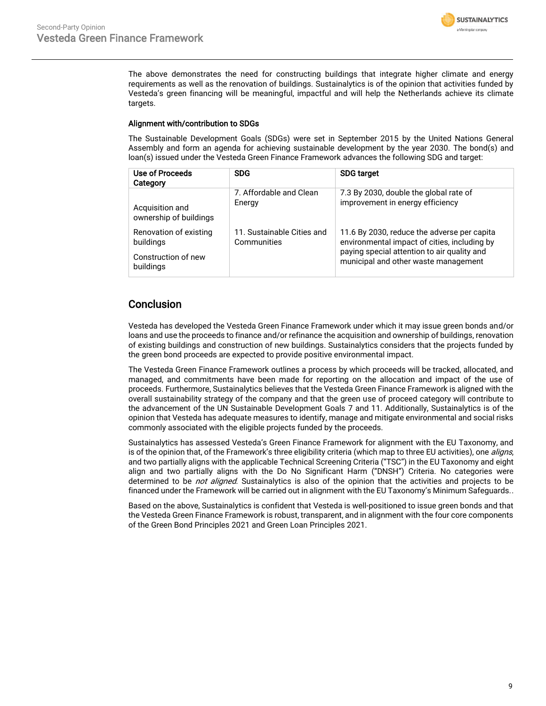

The above demonstrates the need for constructing buildings that integrate higher climate and energy requirements as well as the renovation of buildings. Sustainalytics is of the opinion that activities funded by Vesteda's green financing will be meaningful, impactful and will help the Netherlands achieve its climate targets.

#### Alignment with/contribution to SDGs

The Sustainable Development Goals (SDGs) were set in September 2015 by the United Nations General Assembly and form an agenda for achieving sustainable development by the year 2030. The bond(s) and loan(s) issued under the Vesteda Green Finance Framework advances the following SDG and target:

| Use of Proceeds<br>Category      | <b>SDG</b>                 | <b>SDG target</b>                                                                   |
|----------------------------------|----------------------------|-------------------------------------------------------------------------------------|
| Acquisition and                  | 7. Affordable and Clean    | 7.3 By 2030, double the global rate of                                              |
| ownership of buildings           | Energy                     | improvement in energy efficiency                                                    |
| Renovation of existing           | 11. Sustainable Cities and | 11.6 By 2030, reduce the adverse per capita                                         |
| buildings                        | Communities                | environmental impact of cities, including by                                        |
| Construction of new<br>buildings |                            | paying special attention to air quality and<br>municipal and other waste management |

### **Conclusion**

Vesteda has developed the Vesteda Green Finance Framework under which it may issue green bonds and/or loans and use the proceeds to finance and/or refinance the acquisition and ownership of buildings, renovation of existing buildings and construction of new buildings. Sustainalytics considers that the projects funded by the green bond proceeds are expected to provide positive environmental impact.

The Vesteda Green Finance Framework outlines a process by which proceeds will be tracked, allocated, and managed, and commitments have been made for reporting on the allocation and impact of the use of proceeds. Furthermore, Sustainalytics believes that the Vesteda Green Finance Framework is aligned with the overall sustainability strategy of the company and that the green use of proceed category will contribute to the advancement of the UN Sustainable Development Goals 7 and 11. Additionally, Sustainalytics is of the opinion that Vesteda has adequate measures to identify, manage and mitigate environmental and social risks commonly associated with the eligible projects funded by the proceeds.

Sustainalytics has assessed Vesteda's Green Finance Framework for alignment with the EU Taxonomy, and is of the opinion that, of the Framework's three eligibility criteria (which map to three EU activities), one aligns, and two partially aligns with the applicable Technical Screening Criteria ("TSC") in the EU Taxonomy and eight align and two partially aligns with the Do No Significant Harm ("DNSH") Criteria. No categories were determined to be not aligned. Sustainalytics is also of the opinion that the activities and projects to be financed under the Framework will be carried out in alignment with the EU Taxonomy's Minimum Safeguards..

<span id="page-8-0"></span>Based on the above, Sustainalytics is confident that Vesteda is well-positioned to issue green bonds and that the Vesteda Green Finance Framework is robust, transparent, and in alignment with the four core components of the Green Bond Principles 2021 and Green Loan Principles 2021.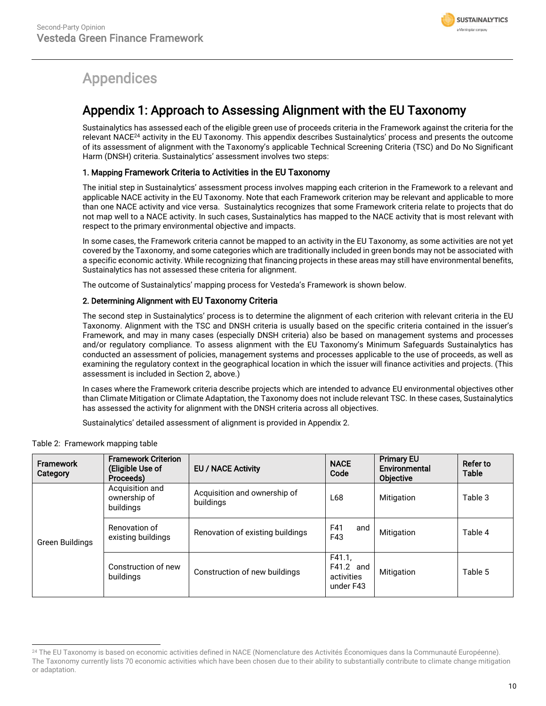

# Appendices

## Appendix 1: Approach to Assessing Alignment with the EU Taxonomy

Sustainalytics has assessed each of the eligible green use of proceeds criteria in the Framework against the criteria for the relevant NACE<sup>24</sup> activity in the EU Taxonomy. This appendix describes Sustainalytics' process and presents the outcome of its assessment of alignment with the Taxonomy's applicable Technical Screening Criteria (TSC) and Do No Significant Harm (DNSH) criteria. Sustainalytics' assessment involves two steps:

#### 1. Mapping Framework Criteria to Activities in the EU Taxonomy

The initial step in Sustainalytics' assessment process involves mapping each criterion in the Framework to a relevant and applicable NACE activity in the EU Taxonomy. Note that each Framework criterion may be relevant and applicable to more than one NACE activity and vice versa. Sustainalytics recognizes that some Framework criteria relate to projects that do not map well to a NACE activity. In such cases, Sustainalytics has mapped to the NACE activity that is most relevant with respect to the primary environmental objective and impacts.

In some cases, the Framework criteria cannot be mapped to an activity in the EU Taxonomy, as some activities are not yet covered by the Taxonomy, and some categories which are traditionally included in green bonds may not be associated with a specific economic activity. While recognizing that financing projects in these areas may still have environmental benefits, Sustainalytics has not assessed these criteria for alignment.

The outcome of Sustainalytics' mapping process for Vesteda's Framework is shown below.

#### 2. Determining Alignment with EU Taxonomy Criteria

The second step in Sustainalytics' process is to determine the alignment of each criterion with relevant criteria in the EU Taxonomy. Alignment with the TSC and DNSH criteria is usually based on the specific criteria contained in the issuer's Framework, and may in many cases (especially DNSH criteria) also be based on management systems and processes and/or regulatory compliance. To assess alignment with the EU Taxonomy's Minimum Safeguards Sustainalytics has conducted an assessment of policies, management systems and processes applicable to the use of proceeds, as well as examining the regulatory context in the geographical location in which the issuer will finance activities and projects. (This assessment is included in Section 2, above.)

In cases where the Framework criteria describe projects which are intended to advance EU environmental objectives other than Climate Mitigation or Climate Adaptation, the Taxonomy does not include relevant TSC. In these cases, Sustainalytics has assessed the activity for alignment with the DNSH criteria across all objectives.

Sustainalytics' detailed assessment of alignment is provided in Appendix 2.

| <b>Framework</b><br>Category | <b>Framework Criterion</b><br>(Eligible Use of<br>Proceeds) | <b>EU / NACE Activity</b>                 | <b>NACE</b><br>Code                            | <b>Primary EU</b><br>Environmental<br><b>Objective</b> | Refer to<br><b>Table</b> |
|------------------------------|-------------------------------------------------------------|-------------------------------------------|------------------------------------------------|--------------------------------------------------------|--------------------------|
| Green Buildings              | Acquisition and<br>ownership of<br>buildings                | Acquisition and ownership of<br>buildings | L68                                            | Mitigation                                             | Table 3                  |
|                              | Renovation of<br>existing buildings                         | Renovation of existing buildings          | F41<br>and<br>F43                              | Mitigation                                             | Table 4                  |
|                              | Construction of new<br>buildings                            | Construction of new buildings             | F41.1.<br>F41.2 and<br>activities<br>under F43 | Mitigation                                             | Table 5                  |

#### Table 2: Framework mapping table

<sup>&</sup>lt;sup>24</sup> The EU Taxonomy is based on economic activities defined in NACE (Nomenclature des Activités Économiques dans la Communauté Européenne). The Taxonomy currently lists 70 economic activities which have been chosen due to their ability to substantially contribute to climate change mitigation or adaptation.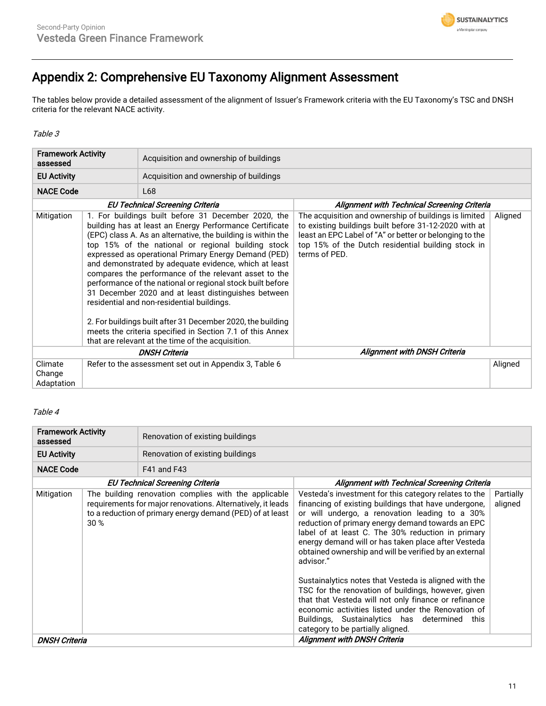

## Appendix 2: Comprehensive EU Taxonomy Alignment Assessment

The tables below provide a detailed assessment of the alignment of Issuer's Framework criteria with the EU Taxonomy's TSC and DNSH criteria for the relevant NACE activity.

Table 3

| <b>Framework Activity</b><br>assessed |  | Acquisition and ownership of buildings                                                                                                                                                                                                                                                                                                                                                                                                                                                                                                                                                                                                                                                                                                                             |                                                                                                                                                                                                                                                  |         |
|---------------------------------------|--|--------------------------------------------------------------------------------------------------------------------------------------------------------------------------------------------------------------------------------------------------------------------------------------------------------------------------------------------------------------------------------------------------------------------------------------------------------------------------------------------------------------------------------------------------------------------------------------------------------------------------------------------------------------------------------------------------------------------------------------------------------------------|--------------------------------------------------------------------------------------------------------------------------------------------------------------------------------------------------------------------------------------------------|---------|
| <b>EU Activity</b>                    |  | Acquisition and ownership of buildings                                                                                                                                                                                                                                                                                                                                                                                                                                                                                                                                                                                                                                                                                                                             |                                                                                                                                                                                                                                                  |         |
| <b>NACE Code</b>                      |  | L68                                                                                                                                                                                                                                                                                                                                                                                                                                                                                                                                                                                                                                                                                                                                                                |                                                                                                                                                                                                                                                  |         |
|                                       |  | <b>EU Technical Screening Criteria</b>                                                                                                                                                                                                                                                                                                                                                                                                                                                                                                                                                                                                                                                                                                                             | Alignment with Technical Screening Criteria                                                                                                                                                                                                      |         |
| Mitigation                            |  | 1. For buildings built before 31 December 2020, the<br>building has at least an Energy Performance Certificate<br>(EPC) class A. As an alternative, the building is within the<br>top 15% of the national or regional building stock<br>expressed as operational Primary Energy Demand (PED)<br>and demonstrated by adequate evidence, which at least<br>compares the performance of the relevant asset to the<br>performance of the national or regional stock built before<br>31 December 2020 and at least distinguishes between<br>residential and non-residential buildings.<br>2. For buildings built after 31 December 2020, the building<br>meets the criteria specified in Section 7.1 of this Annex<br>that are relevant at the time of the acquisition. | The acquisition and ownership of buildings is limited<br>to existing buildings built before 31-12-2020 with at<br>least an EPC Label of "A" or better or belonging to the<br>top 15% of the Dutch residential building stock in<br>terms of PED. | Aligned |
| <b>DNSH Criteria</b>                  |  |                                                                                                                                                                                                                                                                                                                                                                                                                                                                                                                                                                                                                                                                                                                                                                    | <b>Alignment with DNSH Criteria</b>                                                                                                                                                                                                              |         |
| Climate<br>Change<br>Adaptation       |  | Refer to the assessment set out in Appendix 3, Table 6                                                                                                                                                                                                                                                                                                                                                                                                                                                                                                                                                                                                                                                                                                             |                                                                                                                                                                                                                                                  | Aligned |

#### Table 4

| <b>Framework Activity</b><br>assessed                                                                                                                                                                                                    |  | Renovation of existing buildings |                                                                                                                                                                                                                                                                                                                                                                                                                                                                                                                                                                                                                                                                                                                             |                      |
|------------------------------------------------------------------------------------------------------------------------------------------------------------------------------------------------------------------------------------------|--|----------------------------------|-----------------------------------------------------------------------------------------------------------------------------------------------------------------------------------------------------------------------------------------------------------------------------------------------------------------------------------------------------------------------------------------------------------------------------------------------------------------------------------------------------------------------------------------------------------------------------------------------------------------------------------------------------------------------------------------------------------------------------|----------------------|
| <b>EU Activity</b>                                                                                                                                                                                                                       |  | Renovation of existing buildings |                                                                                                                                                                                                                                                                                                                                                                                                                                                                                                                                                                                                                                                                                                                             |                      |
| <b>NACE Code</b>                                                                                                                                                                                                                         |  | <b>F41 and F43</b>               |                                                                                                                                                                                                                                                                                                                                                                                                                                                                                                                                                                                                                                                                                                                             |                      |
|                                                                                                                                                                                                                                          |  |                                  | Alignment with Technical Screening Criteria                                                                                                                                                                                                                                                                                                                                                                                                                                                                                                                                                                                                                                                                                 |                      |
| EU Technical Screening Criteria<br>The building renovation complies with the applicable<br>Mitigation<br>requirements for major renovations. Alternatively, it leads<br>to a reduction of primary energy demand (PED) of at least<br>30% |  |                                  | Vesteda's investment for this category relates to the<br>financing of existing buildings that have undergone,<br>or will undergo, a renovation leading to a 30%<br>reduction of primary energy demand towards an EPC<br>label of at least C. The 30% reduction in primary<br>energy demand will or has taken place after Vesteda<br>obtained ownership and will be verified by an external<br>advisor."<br>Sustainalytics notes that Vesteda is aligned with the<br>TSC for the renovation of buildings, however, given<br>that that Vesteda will not only finance or refinance<br>economic activities listed under the Renovation of<br>Buildings, Sustainalytics has determined this<br>category to be partially aligned. | Partially<br>aligned |
| <b>DNSH Criteria</b>                                                                                                                                                                                                                     |  |                                  | <b>Alignment with DNSH Criteria</b>                                                                                                                                                                                                                                                                                                                                                                                                                                                                                                                                                                                                                                                                                         |                      |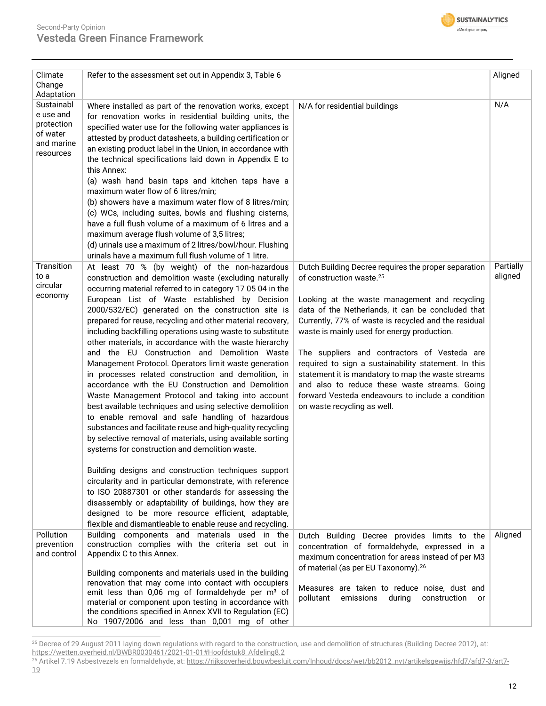

| Climate<br>Change                                                             | Refer to the assessment set out in Appendix 3, Table 6                                                                                                                                                                                                                                                                                                                                                                                                                                                                                                                                                                                                                                                                                                                                                                                                                                                                                                                                                                                          |                                                                                                                                                                                                                                                                                                                                                                                                                                                                                                                                                                                                              | Aligned              |
|-------------------------------------------------------------------------------|-------------------------------------------------------------------------------------------------------------------------------------------------------------------------------------------------------------------------------------------------------------------------------------------------------------------------------------------------------------------------------------------------------------------------------------------------------------------------------------------------------------------------------------------------------------------------------------------------------------------------------------------------------------------------------------------------------------------------------------------------------------------------------------------------------------------------------------------------------------------------------------------------------------------------------------------------------------------------------------------------------------------------------------------------|--------------------------------------------------------------------------------------------------------------------------------------------------------------------------------------------------------------------------------------------------------------------------------------------------------------------------------------------------------------------------------------------------------------------------------------------------------------------------------------------------------------------------------------------------------------------------------------------------------------|----------------------|
| Adaptation<br>Sustainabl<br>e use and<br>protection<br>of water<br>and marine | Where installed as part of the renovation works, except<br>for renovation works in residential building units, the<br>specified water use for the following water appliances is<br>attested by product datasheets, a building certification or                                                                                                                                                                                                                                                                                                                                                                                                                                                                                                                                                                                                                                                                                                                                                                                                  | N/A for residential buildings                                                                                                                                                                                                                                                                                                                                                                                                                                                                                                                                                                                | N/A                  |
| resources                                                                     | an existing product label in the Union, in accordance with<br>the technical specifications laid down in Appendix E to<br>this Annex:<br>(a) wash hand basin taps and kitchen taps have a<br>maximum water flow of 6 litres/min;<br>(b) showers have a maximum water flow of 8 litres/min;<br>(c) WCs, including suites, bowls and flushing cisterns,                                                                                                                                                                                                                                                                                                                                                                                                                                                                                                                                                                                                                                                                                            |                                                                                                                                                                                                                                                                                                                                                                                                                                                                                                                                                                                                              |                      |
|                                                                               | have a full flush volume of a maximum of 6 litres and a<br>maximum average flush volume of 3,5 litres;<br>(d) urinals use a maximum of 2 litres/bowl/hour. Flushing<br>urinals have a maximum full flush volume of 1 litre.                                                                                                                                                                                                                                                                                                                                                                                                                                                                                                                                                                                                                                                                                                                                                                                                                     |                                                                                                                                                                                                                                                                                                                                                                                                                                                                                                                                                                                                              |                      |
| Transition<br>to a<br>circular<br>economy                                     | At least 70 % (by weight) of the non-hazardous<br>construction and demolition waste (excluding naturally<br>occurring material referred to in category 17 05 04 in the<br>European List of Waste established by Decision<br>2000/532/EC) generated on the construction site is<br>prepared for reuse, recycling and other material recovery,<br>including backfilling operations using waste to substitute<br>other materials, in accordance with the waste hierarchy<br>and the EU Construction and Demolition Waste<br>Management Protocol. Operators limit waste generation<br>in processes related construction and demolition, in<br>accordance with the EU Construction and Demolition<br>Waste Management Protocol and taking into account<br>best available techniques and using selective demolition<br>to enable removal and safe handling of hazardous<br>substances and facilitate reuse and high-quality recycling<br>by selective removal of materials, using available sorting<br>systems for construction and demolition waste. | Dutch Building Decree requires the proper separation<br>of construction waste. <sup>25</sup><br>Looking at the waste management and recycling<br>data of the Netherlands, it can be concluded that<br>Currently, 77% of waste is recycled and the residual<br>waste is mainly used for energy production.<br>The suppliers and contractors of Vesteda are<br>required to sign a sustainability statement. In this<br>statement it is mandatory to map the waste streams<br>and also to reduce these waste streams. Going<br>forward Vesteda endeavours to include a condition<br>on waste recycling as well. | Partially<br>aligned |
|                                                                               | Building designs and construction techniques support<br>circularity and in particular demonstrate, with reference<br>to ISO 20887301 or other standards for assessing the<br>disassembly or adaptability of buildings, how they are<br>designed to be more resource efficient, adaptable,<br>flexible and dismantleable to enable reuse and recycling.                                                                                                                                                                                                                                                                                                                                                                                                                                                                                                                                                                                                                                                                                          |                                                                                                                                                                                                                                                                                                                                                                                                                                                                                                                                                                                                              |                      |
| Pollution<br>prevention<br>and control                                        | Building components and materials used in the<br>construction complies with the criteria set out in<br>Appendix C to this Annex.                                                                                                                                                                                                                                                                                                                                                                                                                                                                                                                                                                                                                                                                                                                                                                                                                                                                                                                | Dutch Building Decree provides limits to the<br>concentration of formaldehyde, expressed in a<br>maximum concentration for areas instead of per M3<br>of material (as per EU Taxonomy). <sup>26</sup>                                                                                                                                                                                                                                                                                                                                                                                                        | Aligned              |
|                                                                               | Building components and materials used in the building<br>renovation that may come into contact with occupiers<br>emit less than 0,06 mg of formaldehyde per m <sup>3</sup> of<br>material or component upon testing in accordance with<br>the conditions specified in Annex XVII to Regulation (EC)<br>No 1907/2006 and less than 0,001 mg of other                                                                                                                                                                                                                                                                                                                                                                                                                                                                                                                                                                                                                                                                                            | Measures are taken to reduce noise, dust and<br>pollutant<br>emissions<br>during<br>construction<br>or                                                                                                                                                                                                                                                                                                                                                                                                                                                                                                       |                      |

 $^{25}$  Decree of 29 August 2011 laying down regulations with regard to the construction, use and demolition of structures (Building Decree 2012), at: [https://wetten.overheid.nl/BWBR0030461/2021-01-01#Hoofdstuk8\\_Afdeling8.2](https://wetten.overheid.nl/BWBR0030461/2021-01-01#Hoofdstuk8_Afdeling8.2)

<sup>26</sup> Artikel 7.19 Asbestvezels en formaldehyde, at[: https://rijksoverheid.bouwbesluit.com/Inhoud/docs/wet/bb2012\\_nvt/artikelsgewijs/hfd7/afd7-3/art7-](https://rijksoverheid.bouwbesluit.com/Inhoud/docs/wet/bb2012_nvt/artikelsgewijs/hfd7/afd7-3/art7-19) [19](https://rijksoverheid.bouwbesluit.com/Inhoud/docs/wet/bb2012_nvt/artikelsgewijs/hfd7/afd7-3/art7-19)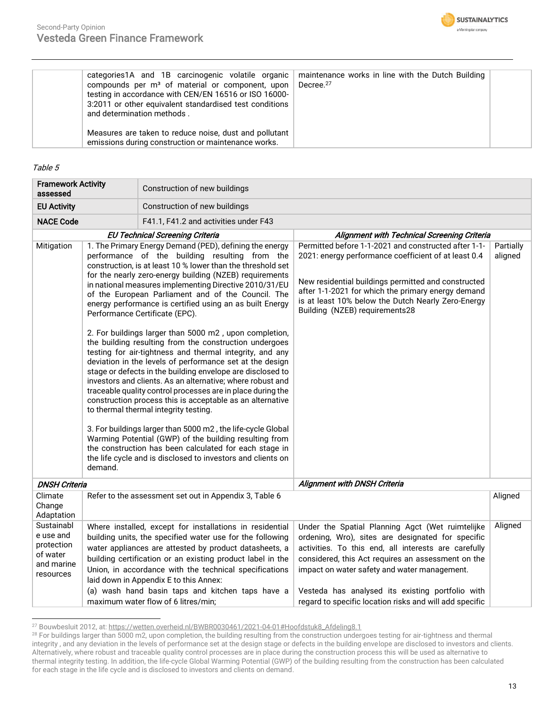

| categories 1A and 1B carcinogenic volatile organic<br>compounds per m <sup>3</sup> of material or component, upon<br>testing in accordance with CEN/EN 16516 or ISO 16000-<br>3:2011 or other equivalent standardised test conditions<br>and determination methods. | maintenance works in line with the Dutch Building<br>Decree. <sup>27</sup> |  |
|---------------------------------------------------------------------------------------------------------------------------------------------------------------------------------------------------------------------------------------------------------------------|----------------------------------------------------------------------------|--|
| Measures are taken to reduce noise, dust and pollutant<br>emissions during construction or maintenance works.                                                                                                                                                       |                                                                            |  |

#### Table 5

| <b>Framework Activity</b><br>assessed                                        |                                                                                                                                                                                                                                                                                                                                                                                                                                                                                                                                                                                                                                                                                                                                                                                                                                                                                                                                                                                                                                                                                                                                                                                                                                                                                            | Construction of new buildings                                                                                                                                                                                                                                                                                                                                                                                                                |                                                                                                                                                                                                                                                                                                                                                                                    |                      |  |
|------------------------------------------------------------------------------|--------------------------------------------------------------------------------------------------------------------------------------------------------------------------------------------------------------------------------------------------------------------------------------------------------------------------------------------------------------------------------------------------------------------------------------------------------------------------------------------------------------------------------------------------------------------------------------------------------------------------------------------------------------------------------------------------------------------------------------------------------------------------------------------------------------------------------------------------------------------------------------------------------------------------------------------------------------------------------------------------------------------------------------------------------------------------------------------------------------------------------------------------------------------------------------------------------------------------------------------------------------------------------------------|----------------------------------------------------------------------------------------------------------------------------------------------------------------------------------------------------------------------------------------------------------------------------------------------------------------------------------------------------------------------------------------------------------------------------------------------|------------------------------------------------------------------------------------------------------------------------------------------------------------------------------------------------------------------------------------------------------------------------------------------------------------------------------------------------------------------------------------|----------------------|--|
| <b>EU Activity</b>                                                           |                                                                                                                                                                                                                                                                                                                                                                                                                                                                                                                                                                                                                                                                                                                                                                                                                                                                                                                                                                                                                                                                                                                                                                                                                                                                                            | Construction of new buildings                                                                                                                                                                                                                                                                                                                                                                                                                |                                                                                                                                                                                                                                                                                                                                                                                    |                      |  |
| <b>NACE Code</b>                                                             |                                                                                                                                                                                                                                                                                                                                                                                                                                                                                                                                                                                                                                                                                                                                                                                                                                                                                                                                                                                                                                                                                                                                                                                                                                                                                            | F41.1, F41.2 and activities under F43                                                                                                                                                                                                                                                                                                                                                                                                        |                                                                                                                                                                                                                                                                                                                                                                                    |                      |  |
|                                                                              |                                                                                                                                                                                                                                                                                                                                                                                                                                                                                                                                                                                                                                                                                                                                                                                                                                                                                                                                                                                                                                                                                                                                                                                                                                                                                            |                                                                                                                                                                                                                                                                                                                                                                                                                                              | Alignment with Technical Screening Criteria                                                                                                                                                                                                                                                                                                                                        |                      |  |
| Mitigation                                                                   | <b>EU Technical Screening Criteria</b><br>1. The Primary Energy Demand (PED), defining the energy<br>performance of the building resulting from the<br>construction, is at least 10 % lower than the threshold set<br>for the nearly zero-energy building (NZEB) requirements<br>in national measures implementing Directive 2010/31/EU<br>of the European Parliament and of the Council. The<br>energy performance is certified using an as built Energy<br>Performance Certificate (EPC).<br>2. For buildings larger than 5000 m2, upon completion,<br>the building resulting from the construction undergoes<br>testing for air-tightness and thermal integrity, and any<br>deviation in the levels of performance set at the design<br>stage or defects in the building envelope are disclosed to<br>investors and clients. As an alternative; where robust and<br>traceable quality control processes are in place during the<br>construction process this is acceptable as an alternative<br>to thermal thermal integrity testing.<br>3. For buildings larger than 5000 m2, the life-cycle Global<br>Warming Potential (GWP) of the building resulting from<br>the construction has been calculated for each stage in<br>the life cycle and is disclosed to investors and clients on |                                                                                                                                                                                                                                                                                                                                                                                                                                              | Permitted before 1-1-2021 and constructed after 1-1-<br>2021: energy performance coefficient of at least 0.4<br>New residential buildings permitted and constructed<br>after 1-1-2021 for which the primary energy demand<br>is at least 10% below the Dutch Nearly Zero-Energy<br>Building (NZEB) requirements28                                                                  | Partially<br>aligned |  |
| <b>DNSH Criteria</b>                                                         |                                                                                                                                                                                                                                                                                                                                                                                                                                                                                                                                                                                                                                                                                                                                                                                                                                                                                                                                                                                                                                                                                                                                                                                                                                                                                            |                                                                                                                                                                                                                                                                                                                                                                                                                                              | <b>Alignment with DNSH Criteria</b>                                                                                                                                                                                                                                                                                                                                                |                      |  |
| Climate<br>Change<br>Adaptation                                              |                                                                                                                                                                                                                                                                                                                                                                                                                                                                                                                                                                                                                                                                                                                                                                                                                                                                                                                                                                                                                                                                                                                                                                                                                                                                                            | Refer to the assessment set out in Appendix 3, Table 6                                                                                                                                                                                                                                                                                                                                                                                       |                                                                                                                                                                                                                                                                                                                                                                                    | Aligned              |  |
| Sustainabl<br>e use and<br>protection<br>of water<br>and marine<br>resources |                                                                                                                                                                                                                                                                                                                                                                                                                                                                                                                                                                                                                                                                                                                                                                                                                                                                                                                                                                                                                                                                                                                                                                                                                                                                                            | Where installed, except for installations in residential<br>building units, the specified water use for the following<br>water appliances are attested by product datasheets, a<br>building certification or an existing product label in the<br>Union, in accordance with the technical specifications<br>laid down in Appendix E to this Annex:<br>(a) wash hand basin taps and kitchen taps have a<br>maximum water flow of 6 litres/min; | Under the Spatial Planning Agct (Wet ruimtelijke<br>ordening, Wro), sites are designated for specific<br>activities. To this end, all interests are carefully<br>considered, this Act requires an assessment on the<br>impact on water safety and water management.<br>Vesteda has analysed its existing portfolio with<br>regard to specific location risks and will add specific | Aligned              |  |

<sup>27</sup> Bouwbesluit 2012, at[: https://wetten.overheid.nl/BWBR0030461/2021-04-01#Hoofdstuk8\\_Afdeling8.1](https://wetten.overheid.nl/BWBR0030461/2021-04-01#Hoofdstuk8_Afdeling8.1)

 $^{28}$  For buildings larger than 5000 m2, upon completion, the building resulting from the construction undergoes testing for air-tightness and thermal integrity , and any deviation in the levels of performance set at the design stage or defects in the building envelope are disclosed to investors and clients. Alternatively, where robust and traceable quality control processes are in place during the construction process this will be used as alternative to thermal integrity testing. In addition, the life-cycle Global Warming Potential (GWP) of the building resulting from the construction has been calculated for each stage in the life cycle and is disclosed to investors and clients on demand.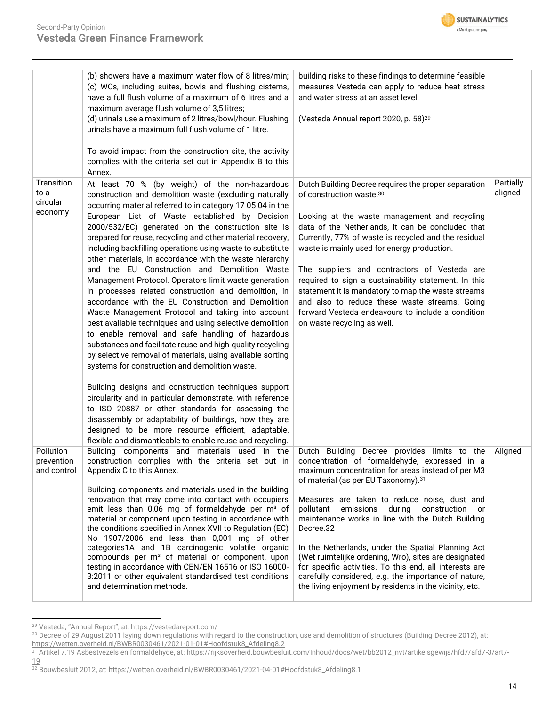

| (b) showers have a maximum water flow of 8 litres/min;<br>(c) WCs, including suites, bowls and flushing cisterns,<br>have a full flush volume of a maximum of 6 litres and a<br>maximum average flush volume of 3,5 litres;<br>(d) urinals use a maximum of 2 litres/bowl/hour. Flushing<br>urinals have a maximum full flush volume of 1 litre.                                                                                                                                                                                                                                                                                                                                                                                                                                                                                                                                                                                                                                                                                                | building risks to these findings to determine feasible<br>measures Vesteda can apply to reduce heat stress<br>and water stress at an asset level.<br>(Vesteda Annual report 2020, p. 58) <sup>29</sup>                                                                                                                                                                                                                                                                                                                                                                                                        |                                                                                                    |
|-------------------------------------------------------------------------------------------------------------------------------------------------------------------------------------------------------------------------------------------------------------------------------------------------------------------------------------------------------------------------------------------------------------------------------------------------------------------------------------------------------------------------------------------------------------------------------------------------------------------------------------------------------------------------------------------------------------------------------------------------------------------------------------------------------------------------------------------------------------------------------------------------------------------------------------------------------------------------------------------------------------------------------------------------|---------------------------------------------------------------------------------------------------------------------------------------------------------------------------------------------------------------------------------------------------------------------------------------------------------------------------------------------------------------------------------------------------------------------------------------------------------------------------------------------------------------------------------------------------------------------------------------------------------------|----------------------------------------------------------------------------------------------------|
| complies with the criteria set out in Appendix B to this<br>Annex.                                                                                                                                                                                                                                                                                                                                                                                                                                                                                                                                                                                                                                                                                                                                                                                                                                                                                                                                                                              |                                                                                                                                                                                                                                                                                                                                                                                                                                                                                                                                                                                                               |                                                                                                    |
| At least 70 % (by weight) of the non-hazardous<br>construction and demolition waste (excluding naturally<br>occurring material referred to in category 17 05 04 in the<br>European List of Waste established by Decision<br>2000/532/EC) generated on the construction site is<br>prepared for reuse, recycling and other material recovery,<br>including backfilling operations using waste to substitute<br>other materials, in accordance with the waste hierarchy<br>and the EU Construction and Demolition Waste<br>Management Protocol. Operators limit waste generation<br>in processes related construction and demolition, in<br>accordance with the EU Construction and Demolition<br>Waste Management Protocol and taking into account<br>best available techniques and using selective demolition<br>to enable removal and safe handling of hazardous<br>substances and facilitate reuse and high-quality recycling<br>by selective removal of materials, using available sorting<br>systems for construction and demolition waste. | Dutch Building Decree requires the proper separation<br>of construction waste.30<br>Looking at the waste management and recycling<br>data of the Netherlands, it can be concluded that<br>Currently, 77% of waste is recycled and the residual<br>waste is mainly used for energy production.<br>The suppliers and contractors of Vesteda are<br>required to sign a sustainability statement. In this<br>statement it is mandatory to map the waste streams<br>and also to reduce these waste streams. Going<br>forward Vesteda endeavours to include a condition<br>on waste recycling as well.              | Partially<br>aligned                                                                               |
| Building designs and construction techniques support<br>circularity and in particular demonstrate, with reference<br>to ISO 20887 or other standards for assessing the<br>disassembly or adaptability of buildings, how they are<br>designed to be more resource efficient, adaptable,<br>flexible and dismantleable to enable reuse and recycling.                                                                                                                                                                                                                                                                                                                                                                                                                                                                                                                                                                                                                                                                                             |                                                                                                                                                                                                                                                                                                                                                                                                                                                                                                                                                                                                               |                                                                                                    |
| Building components and materials used in the<br>Appendix C to this Annex.<br>Building components and materials used in the building<br>renovation that may come into contact with occupiers<br>emit less than 0,06 mg of formaldehyde per m <sup>3</sup> of<br>material or component upon testing in accordance with<br>the conditions specified in Annex XVII to Regulation (EC)<br>No 1907/2006 and less than 0,001 mg of other<br>categories1A and 1B carcinogenic volatile organic<br>compounds per m <sup>3</sup> of material or component, upon<br>testing in accordance with CEN/EN 16516 or ISO 16000-<br>3:2011 or other equivalent standardised test conditions<br>and determination methods.                                                                                                                                                                                                                                                                                                                                        | concentration of formaldehyde, expressed in a<br>maximum concentration for areas instead of per M3<br>of material (as per EU Taxonomy). 31<br>Measures are taken to reduce noise, dust and<br>pollutant emissions during<br>construction<br>or<br>maintenance works in line with the Dutch Building<br>Decree.32<br>In the Netherlands, under the Spatial Planning Act<br>(Wet ruimtelijke ordening, Wro), sites are designated<br>for specific activities. To this end, all interests are<br>carefully considered, e.g. the importance of nature,<br>the living enjoyment by residents in the vicinity, etc. | Aligned                                                                                            |
|                                                                                                                                                                                                                                                                                                                                                                                                                                                                                                                                                                                                                                                                                                                                                                                                                                                                                                                                                                                                                                                 | To avoid impact from the construction site, the activity                                                                                                                                                                                                                                                                                                                                                                                                                                                                                                                                                      | Dutch Building Decree provides limits to the<br>construction complies with the criteria set out in |

<sup>29</sup> Vesteda, "Annual Report", at: <https://vestedareport.com/>

[19](https://rijksoverheid.bouwbesluit.com/Inhoud/docs/wet/bb2012_nvt/artikelsgewijs/hfd7/afd7-3/art7-19) <sup>32</sup> Bouwbesluit 2012, at[: https://wetten.overheid.nl/BWBR0030461/2021-04-01#Hoofdstuk8\\_Afdeling8.1](https://wetten.overheid.nl/BWBR0030461/2021-04-01#Hoofdstuk8_Afdeling8.1)

<sup>30</sup> Decree of 29 August 2011 laying down regulations with regard to the construction, use and demolition of structures (Building Decree 2012), at: [https://wetten.overheid.nl/BWBR0030461/2021-01-01#Hoofdstuk8\\_Afdeling8.2](https://wetten.overheid.nl/BWBR0030461/2021-01-01#Hoofdstuk8_Afdeling8.2)

<sup>31</sup> Artikel 7.19 Asbestvezels en formaldehyde, at[: https://rijksoverheid.bouwbesluit.com/Inhoud/docs/wet/bb2012\\_nvt/artikelsgewijs/hfd7/afd7-3/art7-](https://rijksoverheid.bouwbesluit.com/Inhoud/docs/wet/bb2012_nvt/artikelsgewijs/hfd7/afd7-3/art7-19)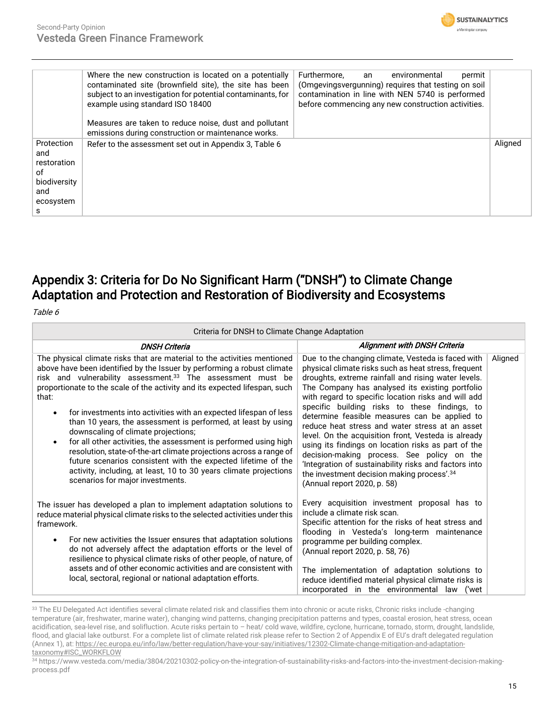

|                                                                                 | Where the new construction is located on a potentially<br>contaminated site (brownfield site), the site has been<br>subject to an investigation for potential contaminants, for<br>example using standard ISO 18400<br>Measures are taken to reduce noise, dust and pollutant<br>emissions during construction or maintenance works. | Furthermore,<br>environmental<br>permit<br>an<br>(Omgevingsvergunning) requires that testing on soil<br>contamination in line with NEN 5740 is performed<br>before commencing any new construction activities. |         |
|---------------------------------------------------------------------------------|--------------------------------------------------------------------------------------------------------------------------------------------------------------------------------------------------------------------------------------------------------------------------------------------------------------------------------------|----------------------------------------------------------------------------------------------------------------------------------------------------------------------------------------------------------------|---------|
| Protection<br>and<br>restoration<br>οf<br>biodiversity<br>and<br>ecosystem<br>s | Refer to the assessment set out in Appendix 3, Table 6                                                                                                                                                                                                                                                                               |                                                                                                                                                                                                                | Aligned |

## Appendix 3: Criteria for Do No Significant Harm ("DNSH") to Climate Change Adaptation and Protection and Restoration of Biodiversity and Ecosystems

Table 6

| Criteria for DNSH to Climate Change Adaptation                                                                                                                                                                                                                                                                                                                                                                                                                                                                                                                                                                                                                                                                                                                                                                                      |                                                                                                                                                                                                                                                                                                                                                                                                                                                                                                                                                                                                                                                                                                                                                |         |  |
|-------------------------------------------------------------------------------------------------------------------------------------------------------------------------------------------------------------------------------------------------------------------------------------------------------------------------------------------------------------------------------------------------------------------------------------------------------------------------------------------------------------------------------------------------------------------------------------------------------------------------------------------------------------------------------------------------------------------------------------------------------------------------------------------------------------------------------------|------------------------------------------------------------------------------------------------------------------------------------------------------------------------------------------------------------------------------------------------------------------------------------------------------------------------------------------------------------------------------------------------------------------------------------------------------------------------------------------------------------------------------------------------------------------------------------------------------------------------------------------------------------------------------------------------------------------------------------------------|---------|--|
| <b>DNSH Criteria</b>                                                                                                                                                                                                                                                                                                                                                                                                                                                                                                                                                                                                                                                                                                                                                                                                                | <b>Alignment with DNSH Criteria</b>                                                                                                                                                                                                                                                                                                                                                                                                                                                                                                                                                                                                                                                                                                            |         |  |
| The physical climate risks that are material to the activities mentioned<br>above have been identified by the Issuer by performing a robust climate<br>risk and vulnerability assessment. <sup>33</sup> The assessment must be<br>proportionate to the scale of the activity and its expected lifespan, such<br>that:<br>for investments into activities with an expected lifespan of less<br>$\bullet$<br>than 10 years, the assessment is performed, at least by using<br>downscaling of climate projections;<br>for all other activities, the assessment is performed using high<br>resolution, state-of-the-art climate projections across a range of<br>future scenarios consistent with the expected lifetime of the<br>activity, including, at least, 10 to 30 years climate projections<br>scenarios for major investments. | Due to the changing climate, Vesteda is faced with<br>physical climate risks such as heat stress, frequent<br>droughts, extreme rainfall and rising water levels.<br>The Company has analysed its existing portfolio<br>with regard to specific location risks and will add<br>specific building risks to these findings, to<br>determine feasible measures can be applied to<br>reduce heat stress and water stress at an asset<br>level. On the acquisition front, Vesteda is already<br>using its findings on location risks as part of the<br>decision-making process. See policy on the<br>'Integration of sustainability risks and factors into<br>the investment decision making process'. <sup>34</sup><br>(Annual report 2020, p. 58) | Aligned |  |
| The issuer has developed a plan to implement adaptation solutions to<br>reduce material physical climate risks to the selected activities under this<br>framework.<br>For new activities the Issuer ensures that adaptation solutions<br>$\bullet$<br>do not adversely affect the adaptation efforts or the level of<br>resilience to physical climate risks of other people, of nature, of<br>assets and of other economic activities and are consistent with<br>local, sectoral, regional or national adaptation efforts.                                                                                                                                                                                                                                                                                                         | Every acquisition investment proposal has to<br>include a climate risk scan.<br>Specific attention for the risks of heat stress and<br>flooding in Vesteda's long-term maintenance<br>programme per building complex.<br>(Annual report 2020, p. 58, 76)<br>The implementation of adaptation solutions to<br>reduce identified material physical climate risks is<br>incorporated in the environmental law ('wet                                                                                                                                                                                                                                                                                                                               |         |  |

<sup>33</sup> The EU Delegated Act identifies several climate related risk and classifies them into chronic or acute risks, Chronic risks include -changing temperature (air, freshwater, marine water), changing wind patterns, changing precipitation patterns and types, coastal erosion, heat stress, ocean acidification, sea-level rise, and solifluction. Acute risks pertain to – heat/ cold wave, wildfire, cyclone, hurricane, tornado, storm, drought, landslide, flood, and glacial lake outburst. For a complete list of climate related risk please refer to Section 2 of Appendix E of EU's draft delegated regulation (Annex 1), at[: https://ec.europa.eu/info/law/better-regulation/have-your-say/initiatives/12302-Climate-change-mitigation-and-adaptation](https://ec.europa.eu/info/law/better-regulation/have-your-say/initiatives/12302-Climate-change-mitigation-and-adaptation-taxonomy#ISC_WORKFLOW)[taxonomy#ISC\\_WORKFLOW](https://ec.europa.eu/info/law/better-regulation/have-your-say/initiatives/12302-Climate-change-mitigation-and-adaptation-taxonomy#ISC_WORKFLOW) 

<sup>34</sup> https://www.vesteda.com/media/3804/20210302-policy-on-the-integration-of-sustainability-risks-and-factors-into-the-investment-decision-makingprocess.pdf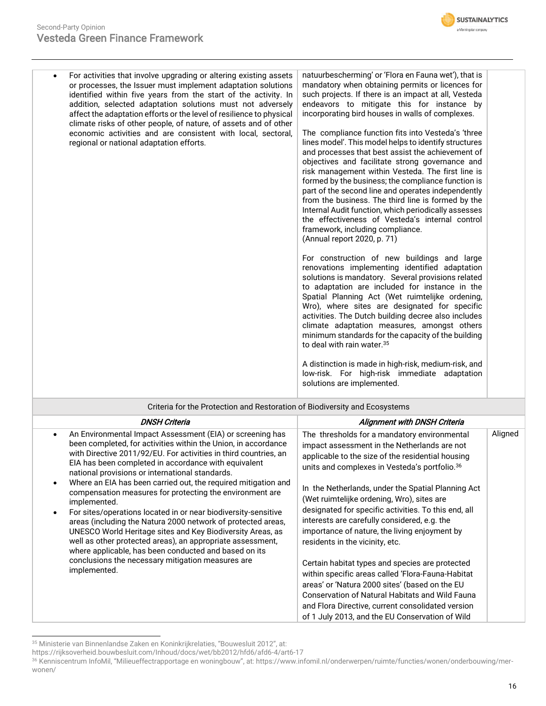#### Second-Party Opinion Vesteda Green Finance Framework



| For activities that involve upgrading or altering existing assets<br>$\bullet$<br>or processes, the Issuer must implement adaptation solutions<br>identified within five years from the start of the activity. In<br>addition, selected adaptation solutions must not adversely<br>affect the adaptation efforts or the level of resilience to physical<br>climate risks of other people, of nature, of assets and of other<br>economic activities and are consistent with local, sectoral,<br>regional or national adaptation efforts.                                                                                                                                                                                                                                                                                                                                                     | natuurbescherming' or 'Flora en Fauna wet'), that is<br>mandatory when obtaining permits or licences for<br>such projects. If there is an impact at all, Vesteda<br>endeavors to mitigate this for instance by<br>incorporating bird houses in walls of complexes.<br>The compliance function fits into Vesteda's 'three<br>lines model'. This model helps to identify structures<br>and processes that best assist the achievement of<br>objectives and facilitate strong governance and<br>risk management within Vesteda. The first line is<br>formed by the business; the compliance function is<br>part of the second line and operates independently<br>from the business. The third line is formed by the<br>Internal Audit function, which periodically assesses<br>the effectiveness of Vesteda's internal control<br>framework, including compliance.<br>(Annual report 2020, p. 71)<br>For construction of new buildings and large<br>renovations implementing identified adaptation<br>solutions is mandatory. Several provisions related<br>to adaptation are included for instance in the<br>Spatial Planning Act (Wet ruimtelijke ordening,<br>Wro), where sites are designated for specific<br>activities. The Dutch building decree also includes<br>climate adaptation measures, amongst others<br>minimum standards for the capacity of the building<br>to deal with rain water. <sup>35</sup><br>A distinction is made in high-risk, medium-risk, and<br>low-risk. For high-risk immediate adaptation<br>solutions are implemented. |         |
|---------------------------------------------------------------------------------------------------------------------------------------------------------------------------------------------------------------------------------------------------------------------------------------------------------------------------------------------------------------------------------------------------------------------------------------------------------------------------------------------------------------------------------------------------------------------------------------------------------------------------------------------------------------------------------------------------------------------------------------------------------------------------------------------------------------------------------------------------------------------------------------------|---------------------------------------------------------------------------------------------------------------------------------------------------------------------------------------------------------------------------------------------------------------------------------------------------------------------------------------------------------------------------------------------------------------------------------------------------------------------------------------------------------------------------------------------------------------------------------------------------------------------------------------------------------------------------------------------------------------------------------------------------------------------------------------------------------------------------------------------------------------------------------------------------------------------------------------------------------------------------------------------------------------------------------------------------------------------------------------------------------------------------------------------------------------------------------------------------------------------------------------------------------------------------------------------------------------------------------------------------------------------------------------------------------------------------------------------------------------------------------------------------------------------------------------------------------|---------|
| Criteria for the Protection and Restoration of Biodiversity and Ecosystems                                                                                                                                                                                                                                                                                                                                                                                                                                                                                                                                                                                                                                                                                                                                                                                                                  |                                                                                                                                                                                                                                                                                                                                                                                                                                                                                                                                                                                                                                                                                                                                                                                                                                                                                                                                                                                                                                                                                                                                                                                                                                                                                                                                                                                                                                                                                                                                                         |         |
| <b>DNSH Criteria</b>                                                                                                                                                                                                                                                                                                                                                                                                                                                                                                                                                                                                                                                                                                                                                                                                                                                                        | <b>Alignment with DNSH Criteria</b>                                                                                                                                                                                                                                                                                                                                                                                                                                                                                                                                                                                                                                                                                                                                                                                                                                                                                                                                                                                                                                                                                                                                                                                                                                                                                                                                                                                                                                                                                                                     |         |
| An Environmental Impact Assessment (EIA) or screening has<br>$\bullet$<br>been completed, for activities within the Union, in accordance<br>with Directive 2011/92/EU. For activities in third countries, an<br>EIA has been completed in accordance with equivalent<br>national provisions or international standards.<br>Where an EIA has been carried out, the required mitigation and<br>$\bullet$<br>compensation measures for protecting the environment are<br>implemented.<br>For sites/operations located in or near biodiversity-sensitive<br>$\bullet$<br>areas (including the Natura 2000 network of protected areas,<br>UNESCO World Heritage sites and Key Biodiversity Areas, as<br>well as other protected areas), an appropriate assessment,<br>where applicable, has been conducted and based on its<br>conclusions the necessary mitigation measures are<br>implemented. | The thresholds for a mandatory environmental<br>impact assessment in the Netherlands are not<br>applicable to the size of the residential housing<br>units and complexes in Vesteda's portfolio. <sup>36</sup><br>In the Netherlands, under the Spatial Planning Act<br>(Wet ruimtelijke ordening, Wro), sites are<br>designated for specific activities. To this end, all<br>interests are carefully considered, e.g. the<br>importance of nature, the living enjoyment by<br>residents in the vicinity, etc.<br>Certain habitat types and species are protected<br>within specific areas called 'Flora-Fauna-Habitat<br>areas' or 'Natura 2000 sites' (based on the EU<br><b>Conservation of Natural Habitats and Wild Fauna</b>                                                                                                                                                                                                                                                                                                                                                                                                                                                                                                                                                                                                                                                                                                                                                                                                                      | Aligned |

and Flora Directive, current consolidated version of 1 July 2013, and the EU Conservation of Wild

<sup>35</sup> Ministerie van Binnenlandse Zaken en Koninkrijkrelaties, "Bouwesluit 2012", at:

https://rijksoverheid.bouwbesluit.com/Inhoud/docs/wet/bb2012/hfd6/afd6-4/art6-17

<sup>36</sup> Kenniscentrum InfoMil, "Milieueffectrapportage en woningbouw", at: https://www.infomil.nl/onderwerpen/ruimte/functies/wonen/onderbouwing/merwonen/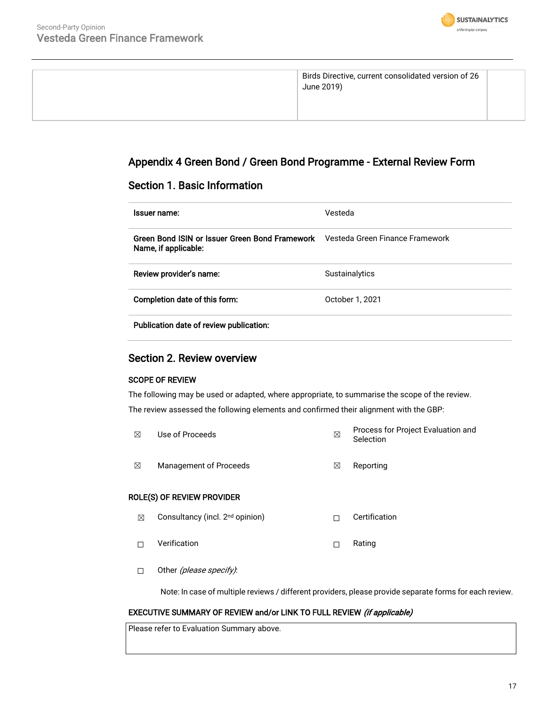

| Birds Directive, current consolidated version of 26<br>June 2019) |  |
|-------------------------------------------------------------------|--|

## Appendix 4 Green Bond / Green Bond Programme - External Review Form

### Section 1. Basic Information

| Issuer name:                                                           | Vesteda                         |
|------------------------------------------------------------------------|---------------------------------|
| Green Bond ISIN or Issuer Green Bond Framework<br>Name, if applicable: | Vesteda Green Finance Framework |
| Review provider's name:                                                | <b>Sustainalytics</b>           |
| Completion date of this form:                                          | October 1, 2021                 |
| Publication date of review publication:                                |                                 |

### Section 2. Review overview

#### SCOPE OF REVIEW

The following may be used or adapted, where appropriate, to summarise the scope of the review. The review assessed the following elements and confirmed their alignment with the GBP:

| ⊠ | Use of Proceeds                             | ⊠ | Process for Project Evaluation and<br>Selection |
|---|---------------------------------------------|---|-------------------------------------------------|
| ⊠ | Management of Proceeds                      | ⊠ | Reporting                                       |
|   | ROLE(S) OF REVIEW PROVIDER                  |   |                                                 |
| ⊠ | Consultancy (incl. 2 <sup>nd</sup> opinion) | П | Certification                                   |
|   | Verification                                | П | Rating                                          |

□ Other *(please specify)*:

Note: In case of multiple reviews / different providers, please provide separate forms for each review.

#### EXECUTIVE SUMMARY OF REVIEW and/or LINK TO FULL REVIEW (if applicable)

Please refer to Evaluation Summary above.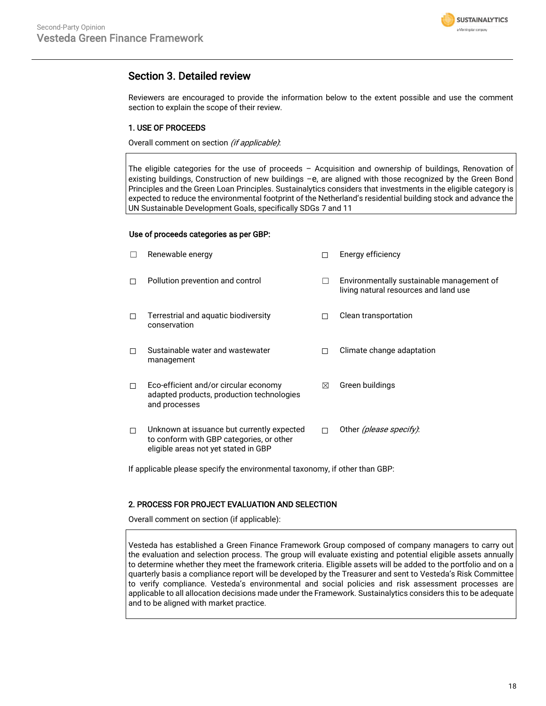

## Section 3. Detailed review

Reviewers are encouraged to provide the information below to the extent possible and use the comment section to explain the scope of their review.

#### 1. USE OF PROCEEDS

Overall comment on section (if applicable).

The eligible categories for the use of proceeds – Acquisition and ownership of buildings, Renovation of existing buildings, Construction of new buildings -e, are aligned with those recognized by the Green Bond Principles and the Green Loan Principles. Sustainalytics considers that investments in the eligible category is expected to reduce the environmental footprint of the Netherland's residential building stock and advance the UN Sustainable Development Goals, specifically SDGs 7 and 11

#### Use of proceeds categories as per GBP:

|   | Renewable energy                                                                                                               |   | Energy efficiency                                                                  |
|---|--------------------------------------------------------------------------------------------------------------------------------|---|------------------------------------------------------------------------------------|
| п | Pollution prevention and control                                                                                               |   | Environmentally sustainable management of<br>living natural resources and land use |
| П | Terrestrial and aquatic biodiversity<br>conservation                                                                           |   | Clean transportation                                                               |
| П | Sustainable water and wastewater<br>management                                                                                 | П | Climate change adaptation                                                          |
| П | Eco-efficient and/or circular economy<br>adapted products, production technologies<br>and processes                            | ⊠ | Green buildings                                                                    |
| П | Unknown at issuance but currently expected<br>to conform with GBP categories, or other<br>eligible areas not yet stated in GBP | п | Other <i>(please specify)</i> :                                                    |

If applicable please specify the environmental taxonomy, if other than GBP:

#### 2. PROCESS FOR PROJECT EVALUATION AND SELECTION

Overall comment on section (if applicable):

Vesteda has established a Green Finance Framework Group composed of company managers to carry out the evaluation and selection process. The group will evaluate existing and potential eligible assets annually to determine whether they meet the framework criteria. Eligible assets will be added to the portfolio and on a quarterly basis a compliance report will be developed by the Treasurer and sent to Vesteda's Risk Committee to verify compliance. Vesteda's environmental and social policies and risk assessment processes are applicable to all allocation decisions made under the Framework. Sustainalytics considers this to be adequate and to be aligned with market practice.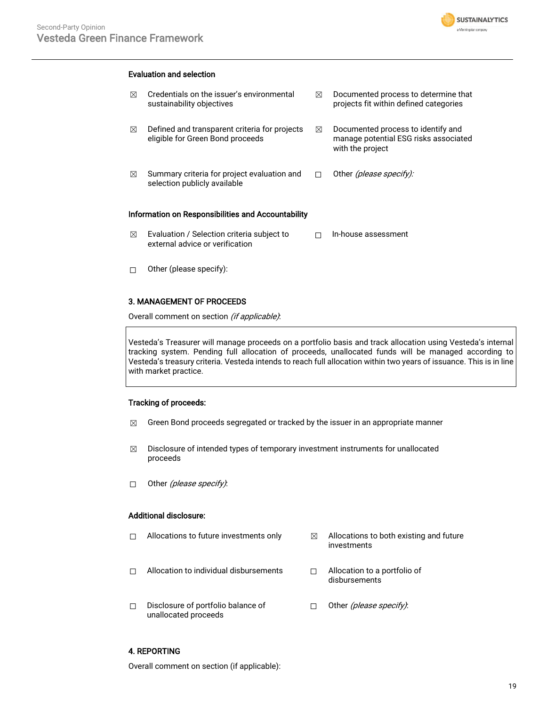

#### Evaluation and selection

| ⊠ | Credentials on the issuer's environmental<br>sustainability objectives            | ⊠ | Documented process to determine that<br>projects fit within defined categories                  |
|---|-----------------------------------------------------------------------------------|---|-------------------------------------------------------------------------------------------------|
| ⊠ | Defined and transparent criteria for projects<br>eligible for Green Bond proceeds | ⊠ | Documented process to identify and<br>manage potential ESG risks associated<br>with the project |
| ⊠ | Summary criteria for project evaluation and<br>selection publicly available       |   | Other <i>(please specify):</i>                                                                  |
|   | Information on Responsibilities and Accountability                                |   |                                                                                                 |
| ⊠ | Evaluation / Selection criteria subject to<br>external advice or verification     |   | In-house assessment                                                                             |
|   | Other (please specify):                                                           |   |                                                                                                 |

#### 3. MANAGEMENT OF PROCEEDS

Overall comment on section (if applicable):

Vesteda's Treasurer will manage proceeds on a portfolio basis and track allocation using Vesteda's internal tracking system. Pending full allocation of proceeds, unallocated funds will be managed according to Vesteda's treasury criteria. Vesteda intends to reach full allocation within two years of issuance. This is in line with market practice.

#### Tracking of proceeds:

- $\boxtimes$  Green Bond proceeds segregated or tracked by the issuer in an appropriate manner
- $\boxtimes$  Disclosure of intended types of temporary investment instruments for unallocated proceeds
- □ Other (please specify):

#### Additional disclosure:

| п | Allocations to future investments only | ⊠ | Allocations to both existing and future<br>investments |
|---|----------------------------------------|---|--------------------------------------------------------|
| П | Allocation to individual disbursements |   | Allocation to a portfolio of<br>disbursements          |
|   | Disclosure of portfolio balance of     |   | Other (please specify).                                |

#### 4. REPORTING

Overall comment on section (if applicable):

unallocated proceeds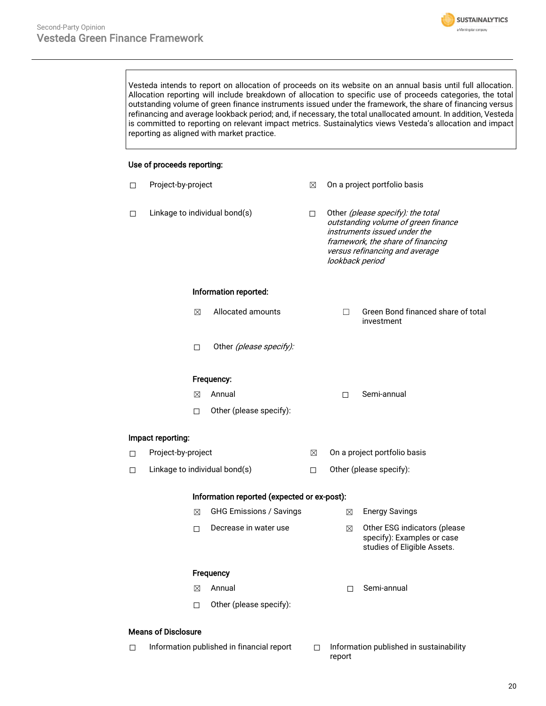

Vesteda intends to report on allocation of proceeds on its website on an annual basis until full allocation. Allocation reporting will include breakdown of allocation to specific use of proceeds categories, the total outstanding volume of green finance instruments issued under the framework, the share of financing versus refinancing and average lookback period; and, if necessary, the total unallocated amount. In addition, Vesteda is committed to reporting on relevant impact metrics. Sustainalytics views Vesteda's allocation and impact reporting as aligned with market practice.

#### Use of proceeds reporting:

| □                                       | Project-by-project            |                                             | ⊠                                                                                                                                                                                                  |                              | On a project portfolio basis                                                              |  |
|-----------------------------------------|-------------------------------|---------------------------------------------|----------------------------------------------------------------------------------------------------------------------------------------------------------------------------------------------------|------------------------------|-------------------------------------------------------------------------------------------|--|
| Linkage to individual bond(s)<br>$\Box$ |                               | $\Box$                                      | Other (please specify): the total<br>outstanding volume of green finance<br>instruments issued under the<br>framework, the share of financing<br>versus refinancing and average<br>lookback period |                              |                                                                                           |  |
|                                         |                               | Information reported:                       |                                                                                                                                                                                                    |                              |                                                                                           |  |
|                                         | $\boxtimes$                   | Allocated amounts                           |                                                                                                                                                                                                    | п                            | Green Bond financed share of total<br>investment                                          |  |
|                                         | $\Box$                        | Other (please specify):                     |                                                                                                                                                                                                    |                              |                                                                                           |  |
|                                         |                               | Frequency:                                  |                                                                                                                                                                                                    |                              |                                                                                           |  |
|                                         | $\boxtimes$                   | Annual                                      |                                                                                                                                                                                                    | $\Box$                       | Semi-annual                                                                               |  |
|                                         | $\Box$                        | Other (please specify):                     |                                                                                                                                                                                                    |                              |                                                                                           |  |
|                                         | Impact reporting:             |                                             |                                                                                                                                                                                                    |                              |                                                                                           |  |
| □                                       | Project-by-project            |                                             | ⊠                                                                                                                                                                                                  | On a project portfolio basis |                                                                                           |  |
| $\Box$                                  | Linkage to individual bond(s) |                                             | $\Box$                                                                                                                                                                                             | Other (please specify):      |                                                                                           |  |
|                                         |                               | Information reported (expected or ex-post): |                                                                                                                                                                                                    |                              |                                                                                           |  |
|                                         | ⊠                             | <b>GHG Emissions / Savings</b>              |                                                                                                                                                                                                    | $\boxtimes$                  | <b>Energy Savings</b>                                                                     |  |
|                                         | $\Box$                        | Decrease in water use                       |                                                                                                                                                                                                    | ⊠                            | Other ESG indicators (please<br>specify): Examples or case<br>studies of Eligible Assets. |  |
| Frequency                               |                               |                                             |                                                                                                                                                                                                    |                              |                                                                                           |  |
|                                         | $\boxtimes$                   | Annual                                      |                                                                                                                                                                                                    | П                            | Semi-annual                                                                               |  |
|                                         | $\Box$                        | Other (please specify):                     |                                                                                                                                                                                                    |                              |                                                                                           |  |
|                                         | <b>Means of Disclosure</b>    |                                             |                                                                                                                                                                                                    |                              |                                                                                           |  |

☐ Information published in financial report ☐ Information published in sustainability report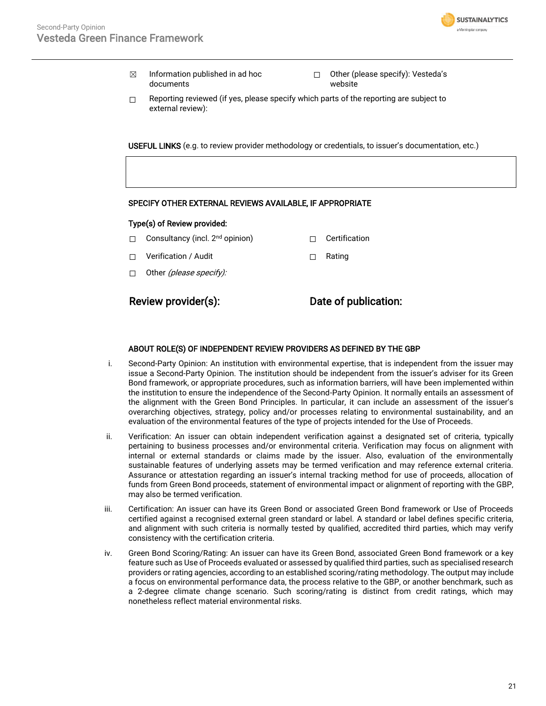

- $\boxtimes$  Information published in ad hoc documents
- ☐ Other (please specify): Vesteda's website
- $\Box$  Reporting reviewed (if yes, please specify which parts of the reporting are subject to external review):

USEFUL LINKS (e.g. to review provider methodology or credentials, to issuer's documentation, etc.)

#### SPECIFY OTHER EXTERNAL REVIEWS AVAILABLE, IF APPROPRIATE

#### Type(s) of Review provided:

- □ Consultancy (incl. 2<sup>nd</sup> opinion) □ □ Certification
- ☐ Verification / Audit ☐ Rating
- $\Box$  Other *(please specify):*

Review provider(s): Date of publication:

#### ABOUT ROLE(S) OF INDEPENDENT REVIEW PROVIDERS AS DEFINED BY THE GBP

- i. Second-Party Opinion: An institution with environmental expertise, that is independent from the issuer may issue a Second-Party Opinion. The institution should be independent from the issuer's adviser for its Green Bond framework, or appropriate procedures, such as information barriers, will have been implemented within the institution to ensure the independence of the Second-Party Opinion. It normally entails an assessment of the alignment with the Green Bond Principles. In particular, it can include an assessment of the issuer's overarching objectives, strategy, policy and/or processes relating to environmental sustainability, and an evaluation of the environmental features of the type of projects intended for the Use of Proceeds.
- ii. Verification: An issuer can obtain independent verification against a designated set of criteria, typically pertaining to business processes and/or environmental criteria. Verification may focus on alignment with internal or external standards or claims made by the issuer. Also, evaluation of the environmentally sustainable features of underlying assets may be termed verification and may reference external criteria. Assurance or attestation regarding an issuer's internal tracking method for use of proceeds, allocation of funds from Green Bond proceeds, statement of environmental impact or alignment of reporting with the GBP, may also be termed verification.
- iii. Certification: An issuer can have its Green Bond or associated Green Bond framework or Use of Proceeds certified against a recognised external green standard or label. A standard or label defines specific criteria, and alignment with such criteria is normally tested by qualified, accredited third parties, which may verify consistency with the certification criteria.
- iv. Green Bond Scoring/Rating: An issuer can have its Green Bond, associated Green Bond framework or a key feature such as Use of Proceeds evaluated or assessed by qualified third parties, such as specialised research providers or rating agencies, according to an established scoring/rating methodology. The output may include a focus on environmental performance data, the process relative to the GBP, or another benchmark, such as a 2-degree climate change scenario. Such scoring/rating is distinct from credit ratings, which may nonetheless reflect material environmental risks.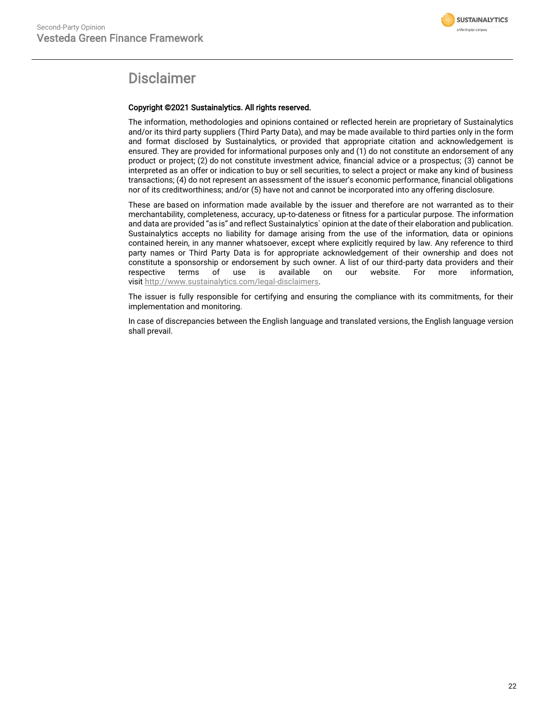

## Disclaimer

#### Copyright ©2021 Sustainalytics. All rights reserved.

The information, methodologies and opinions contained or reflected herein are proprietary of Sustainalytics and/or its third party suppliers (Third Party Data), and may be made available to third parties only in the form and format disclosed by Sustainalytics, or provided that appropriate citation and acknowledgement is ensured. They are provided for informational purposes only and (1) do not constitute an endorsement of any product or project; (2) do not constitute investment advice, financial advice or a prospectus; (3) cannot be interpreted as an offer or indication to buy or sell securities, to select a project or make any kind of business transactions; (4) do not represent an assessment of the issuer's economic performance, financial obligations nor of its creditworthiness; and/or (5) have not and cannot be incorporated into any offering disclosure.

These are based on information made available by the issuer and therefore are not warranted as to their merchantability, completeness, accuracy, up-to-dateness or fitness for a particular purpose. The information and data are provided "as is" and reflect Sustainalytics` opinion at the date of their elaboration and publication. Sustainalytics accepts no liability for damage arising from the use of the information, data or opinions contained herein, in any manner whatsoever, except where explicitly required by law. Any reference to third party names or Third Party Data is for appropriate acknowledgement of their ownership and does not constitute a sponsorship or endorsement by such owner. A list of our third-party data providers and their respective terms of use is available on our website. For more information, visit [http://www.sustainalytics.com/legal-disclaimers.](http://www.sustainalytics.com/legal-disclaimers)

The issuer is fully responsible for certifying and ensuring the compliance with its commitments, for their implementation and monitoring.

In case of discrepancies between the English language and translated versions, the English language version shall prevail.